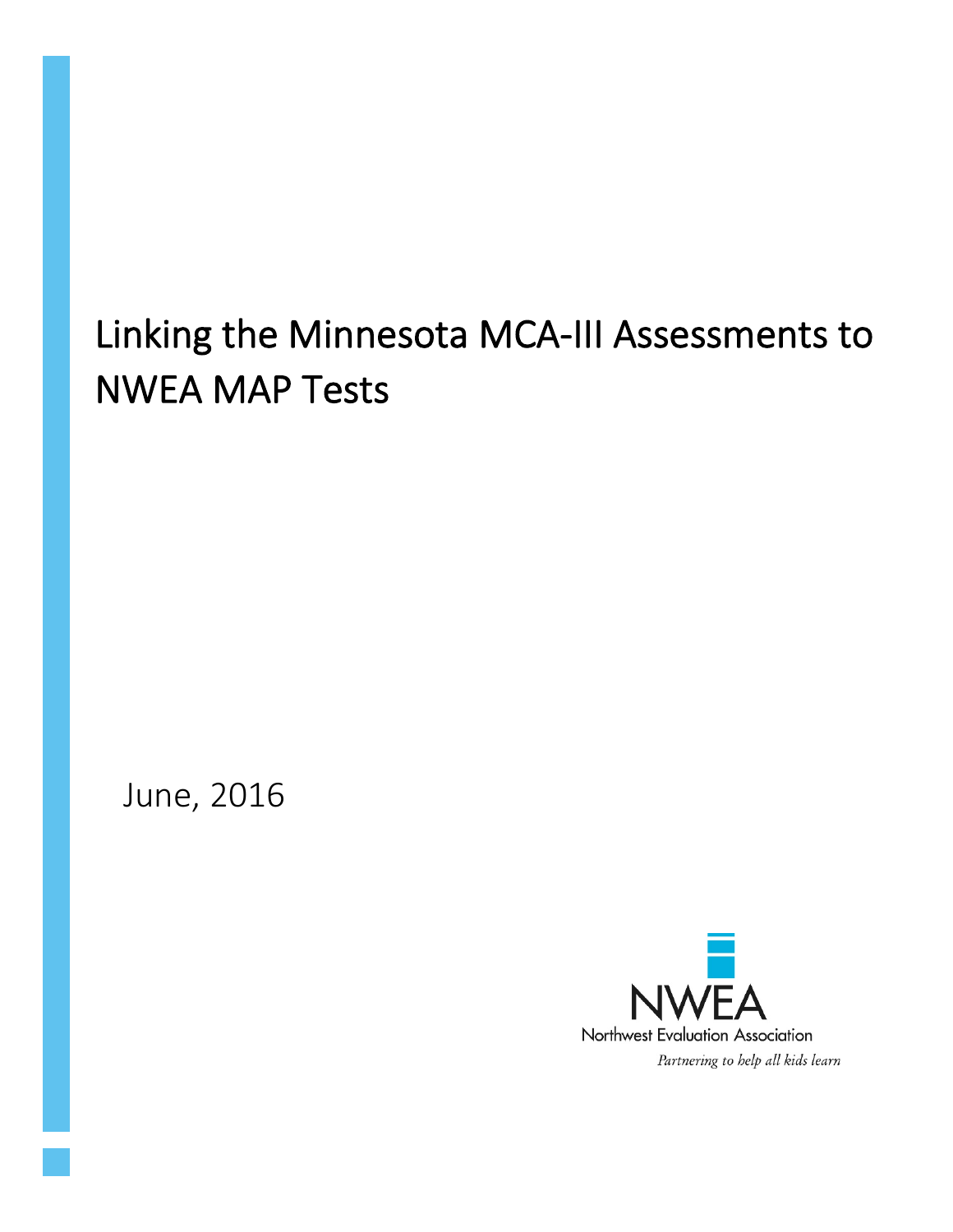# Linking the Minnesota MCA-III Assessments to NWEA MAP Tests

June, 2016

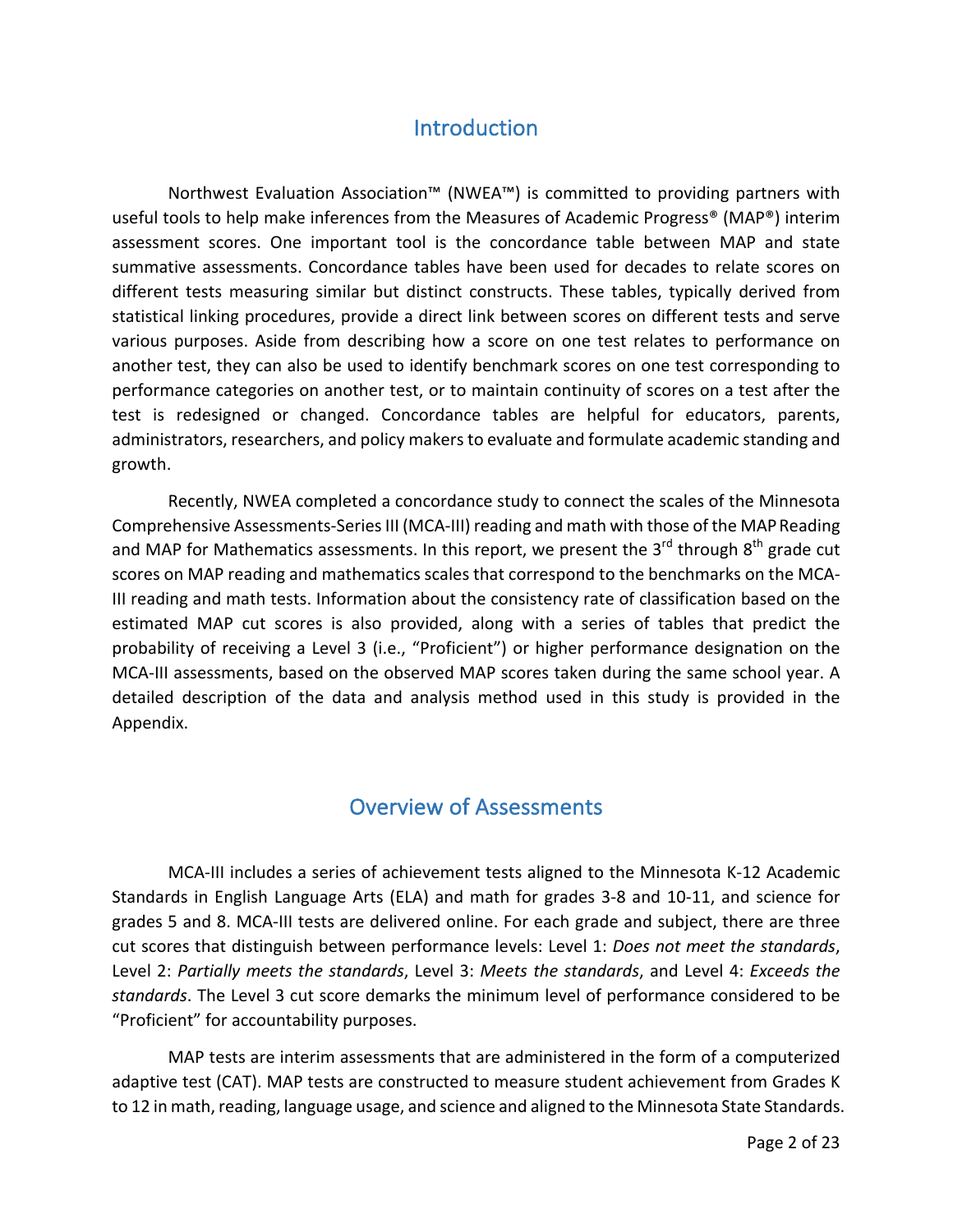#### **Introduction**

Northwest Evaluation Association™ (NWEA™) is committed to providing partners with useful tools to help make inferences from the Measures of Academic Progress<sup>®</sup> (MAP<sup>®</sup>) interim assessment scores. One important tool is the concordance table between MAP and state summative assessments. Concordance tables have been used for decades to relate scores on different tests measuring similar but distinct constructs. These tables, typically derived from statistical linking procedures, provide a direct link between scores on different tests and serve various purposes. Aside from describing how a score on one test relates to performance on another test, they can also be used to identify benchmark scores on one test corresponding to performance categories on another test, or to maintain continuity of scores on a test after the test is redesigned or changed. Concordance tables are helpful for educators, parents, administrators, researchers, and policy makers to evaluate and formulate academic standing and growth. 

Recently, NWEA completed a concordance study to connect the scales of the Minnesota Comprehensive Assessments-Series III (MCA-III) reading and math with those of the MAP Reading and MAP for Mathematics assessments. In this report, we present the 3<sup>rd</sup> through 8<sup>th</sup> grade cut scores on MAP reading and mathematics scales that correspond to the benchmarks on the MCA-III reading and math tests. Information about the consistency rate of classification based on the estimated MAP cut scores is also provided, along with a series of tables that predict the probability of receiving a Level 3 (i.e., "Proficient") or higher performance designation on the MCA-III assessments, based on the observed MAP scores taken during the same school year. A detailed description of the data and analysis method used in this study is provided in the Appendix. 

# Overview of Assessments

MCA-III includes a series of achievement tests aligned to the Minnesota K-12 Academic Standards in English Language Arts (ELA) and math for grades 3-8 and 10-11, and science for grades 5 and 8. MCA-III tests are delivered online. For each grade and subject, there are three cut scores that distinguish between performance levels: Level 1: *Does not meet the standards*, Level 2: Partially meets the standards, Level 3: Meets the standards, and Level 4: *Exceeds* the *standards*. The Level 3 cut score demarks the minimum level of performance considered to be "Proficient" for accountability purposes.

MAP tests are interim assessments that are administered in the form of a computerized adaptive test (CAT). MAP tests are constructed to measure student achievement from Grades K to 12 in math, reading, language usage, and science and aligned to the Minnesota State Standards.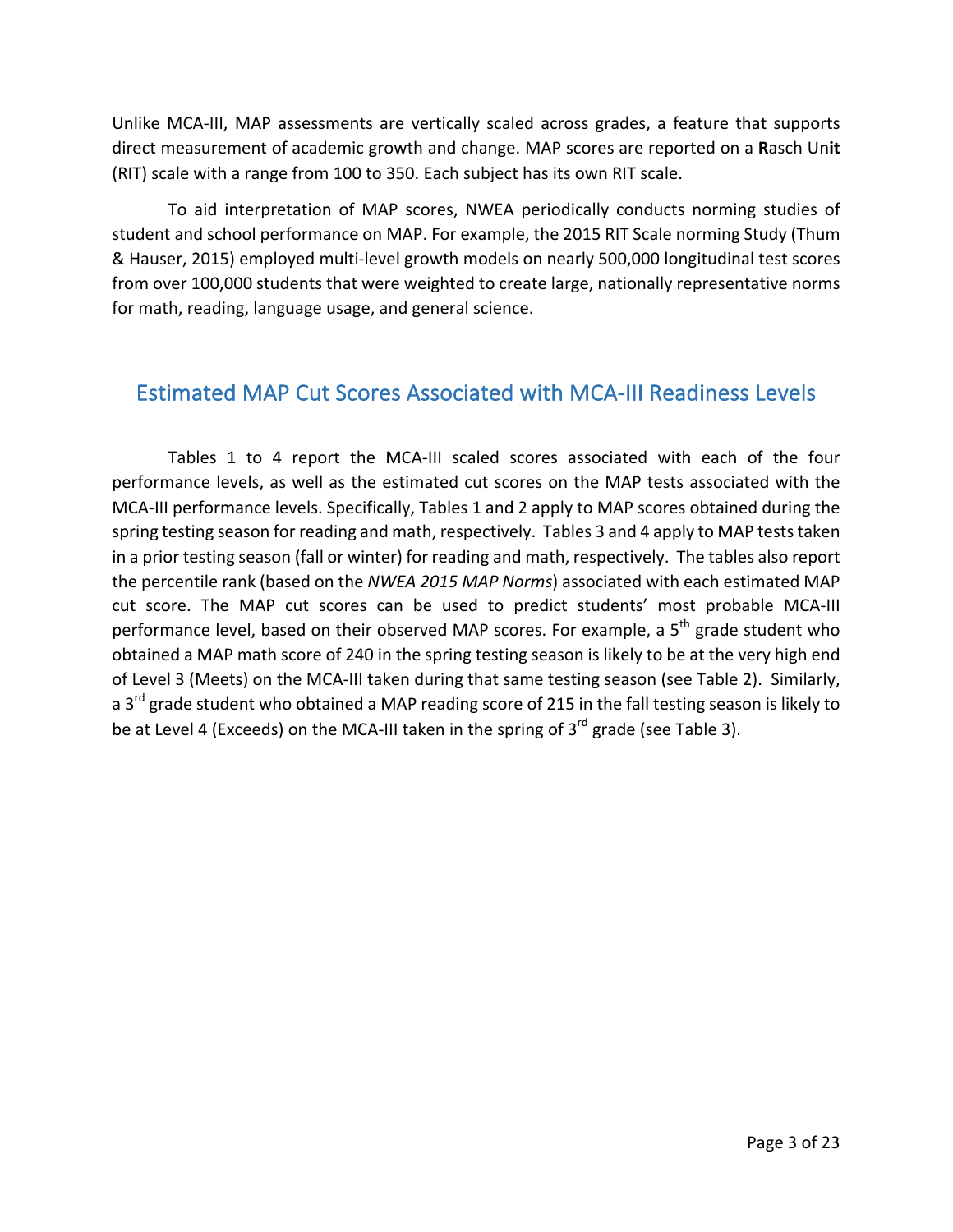Unlike MCA-III, MAP assessments are vertically scaled across grades, a feature that supports direct measurement of academic growth and change. MAP scores are reported on a Rasch Unit (RIT) scale with a range from 100 to 350. Each subject has its own RIT scale.

To aid interpretation of MAP scores, NWEA periodically conducts norming studies of student and school performance on MAP. For example, the 2015 RIT Scale norming Study (Thum & Hauser, 2015) employed multi-level growth models on nearly 500,000 longitudinal test scores from over 100,000 students that were weighted to create large, nationally representative norms for math, reading, language usage, and general science.

#### Estimated MAP Cut Scores Associated with MCA-III Readiness Levels

Tables 1 to 4 report the MCA-III scaled scores associated with each of the four performance levels, as well as the estimated cut scores on the MAP tests associated with the MCA-III performance levels. Specifically, Tables 1 and 2 apply to MAP scores obtained during the spring testing season for reading and math, respectively. Tables 3 and 4 apply to MAP tests taken in a prior testing season (fall or winter) for reading and math, respectively. The tables also report the percentile rank (based on the *NWEA 2015 MAP Norms*) associated with each estimated MAP cut score. The MAP cut scores can be used to predict students' most probable MCA-III performance level, based on their observed MAP scores. For example, a  $5<sup>th</sup>$  grade student who obtained a MAP math score of 240 in the spring testing season is likely to be at the very high end of Level 3 (Meets) on the MCA-III taken during that same testing season (see Table 2). Similarly, a  $3<sup>rd</sup>$  grade student who obtained a MAP reading score of 215 in the fall testing season is likely to be at Level 4 (Exceeds) on the MCA-III taken in the spring of  $3<sup>rd</sup>$  grade (see Table 3).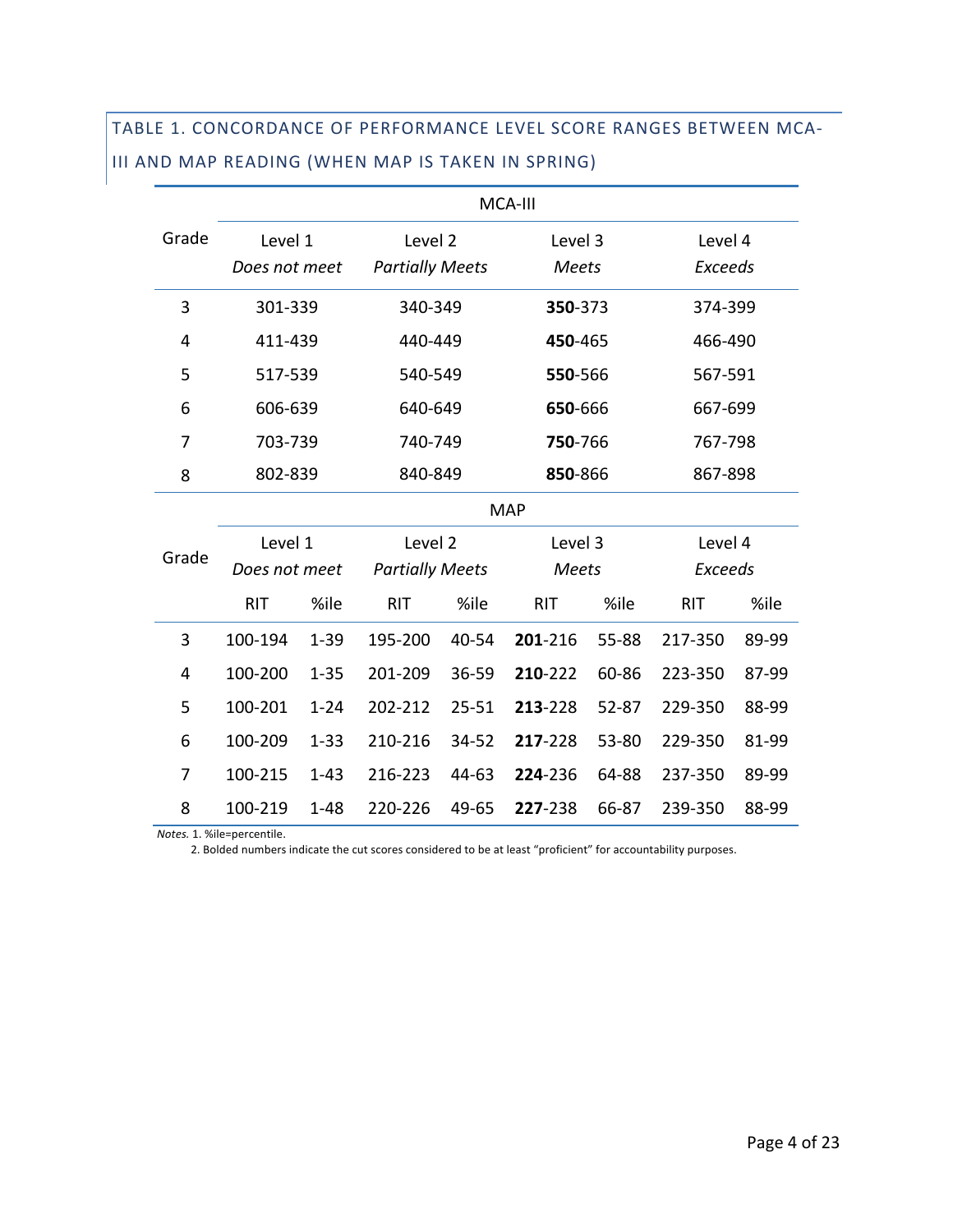# TABLE 1. CONCORDANCE OF PERFORMANCE LEVEL SCORE RANGES BETWEEN MCA-III AND MAP READING (WHEN MAP IS TAKEN IN SPRING)

|       | MCA-III       |          |                        |           |                  |       |                |       |  |
|-------|---------------|----------|------------------------|-----------|------------------|-------|----------------|-------|--|
| Grade | Level 1       |          | Level 2                |           | Level 3          |       | Level 4        |       |  |
|       | Does not meet |          | <b>Partially Meets</b> |           | <b>Meets</b>     |       | <b>Exceeds</b> |       |  |
| 3     | 301-339       |          | 340-349                |           | 350-373          |       | 374-399        |       |  |
| 4     | 411-439       |          | 440-449                |           | 450-465          |       | 466-490        |       |  |
| 5     | 517-539       |          | 540-549                |           | 550-566          |       | 567-591        |       |  |
| 6     | 606-639       |          | 640-649                |           | 650-666          |       | 667-699        |       |  |
| 7     | 703-739       |          | 740-749                |           | 750-766          |       | 767-798        |       |  |
| 8     | 802-839       |          | 840-849                |           | 850-866          |       | 867-898        |       |  |
|       |               |          |                        |           | <b>MAP</b>       |       |                |       |  |
|       | Level 1       |          | Level 2                |           | Level 3          |       | Level 4        |       |  |
| Grade | Does not meet |          | <b>Partially Meets</b> |           | <b>Meets</b>     |       | <b>Exceeds</b> |       |  |
|       | <b>RIT</b>    | %ile     | <b>RIT</b>             | %ile      | <b>RIT</b>       | %ile  | <b>RIT</b>     | %ile  |  |
| 3     | 100-194       | $1 - 39$ | 195-200                | 40-54     | 201-216          | 55-88 | 217-350        | 89-99 |  |
| 4     | 100-200       | $1 - 35$ | 201-209                | 36-59     | 210-222          | 60-86 | 223-350        | 87-99 |  |
| 5     | 100-201       | $1 - 24$ | 202-212                | $25 - 51$ | 213-228          | 52-87 | 229-350        | 88-99 |  |
| 6     | 100-209       | $1 - 33$ | 210-216                | 34-52     | 217-228          | 53-80 | 229-350        | 81-99 |  |
| 7     | 100-215       | $1 - 43$ | 216-223                | 44-63     | 224-236<br>64-88 |       | 237-350        | 89-99 |  |
| 8     | 100-219       | $1 - 48$ | 220-226                | 49-65     | 227-238          | 66-87 | 239-350        | 88-99 |  |

*Notes.* 1. %ile=percentile.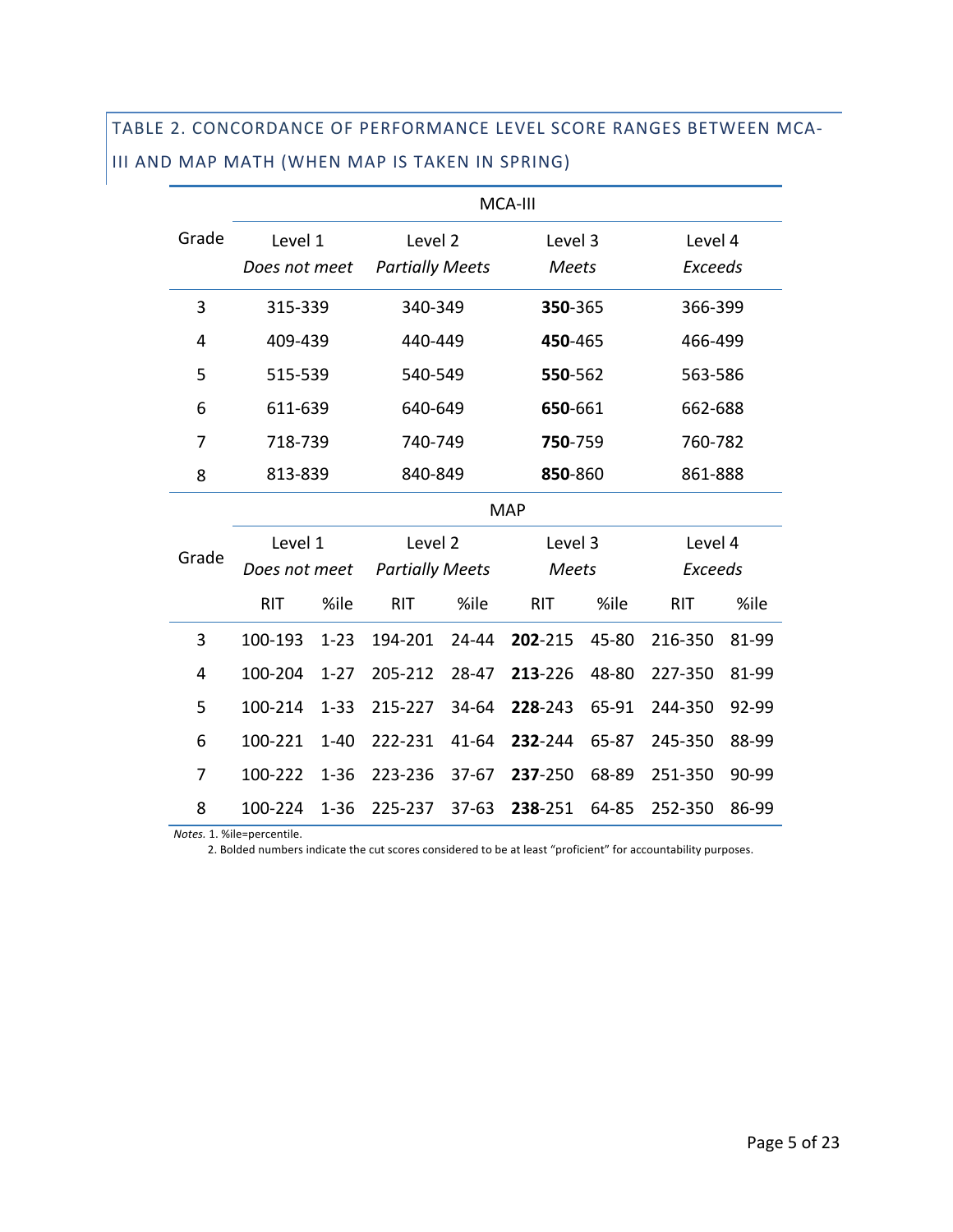# TABLE 2. CONCORDANCE OF PERFORMANCE LEVEL SCORE RANGES BETWEEN MCA-III AND MAP MATH (WHEN MAP IS TAKEN IN SPRING)

|       | MCA-III       |          |                        |           |              |       |                |       |  |
|-------|---------------|----------|------------------------|-----------|--------------|-------|----------------|-------|--|
| Grade | Level 1       |          | Level 2                |           | Level 3      |       | Level 4        |       |  |
|       | Does not meet |          | <b>Partially Meets</b> |           | <b>Meets</b> |       | <b>Exceeds</b> |       |  |
| 3     | 315-339       |          | 340-349                |           | 350-365      |       | 366-399        |       |  |
| 4     | 409-439       |          | 440-449                |           | 450-465      |       | 466-499        |       |  |
| 5     | 515-539       |          | 540-549                |           | 550-562      |       | 563-586        |       |  |
| 6     | 611-639       |          | 640-649                |           | 650-661      |       | 662-688        |       |  |
| 7     | 718-739       |          | 740-749                |           | 750-759      |       | 760-782        |       |  |
| 8     | 813-839       |          | 840-849                |           | 850-860      |       | 861-888        |       |  |
|       |               |          |                        |           | <b>MAP</b>   |       |                |       |  |
|       | Level 1       |          | Level 2                |           | Level 3      |       | Level 4        |       |  |
| Grade | Does not meet |          | <b>Partially Meets</b> |           | <b>Meets</b> |       | <b>Exceeds</b> |       |  |
|       | <b>RIT</b>    | %ile     | <b>RIT</b>             | %ile      | <b>RIT</b>   | %ile  | <b>RIT</b>     | %ile  |  |
| 3     | 100-193       | $1 - 23$ | 194-201                | 24-44     | 202-215      | 45-80 | 216-350        | 81-99 |  |
| 4     | 100-204       | $1 - 27$ | 205-212                | 28-47     | 213-226      | 48-80 | 227-350        | 81-99 |  |
| 5     | 100-214       | $1 - 33$ | 215-227                | 34-64     | 228-243      | 65-91 | 244-350        | 92-99 |  |
| 6     | 100-221       | $1 - 40$ | 222-231                | 41-64     | 232-244      | 65-87 | 245-350        | 88-99 |  |
| 7     | 100-222       | $1 - 36$ | 223-236                | $37 - 67$ | 237-250      | 68-89 | 251-350        | 90-99 |  |
| 8     | 100-224       | $1 - 36$ | 225-237                | $37-63$   | 238-251      | 64-85 | 252-350        | 86-99 |  |

 *Notes.* 1. %ile=percentile.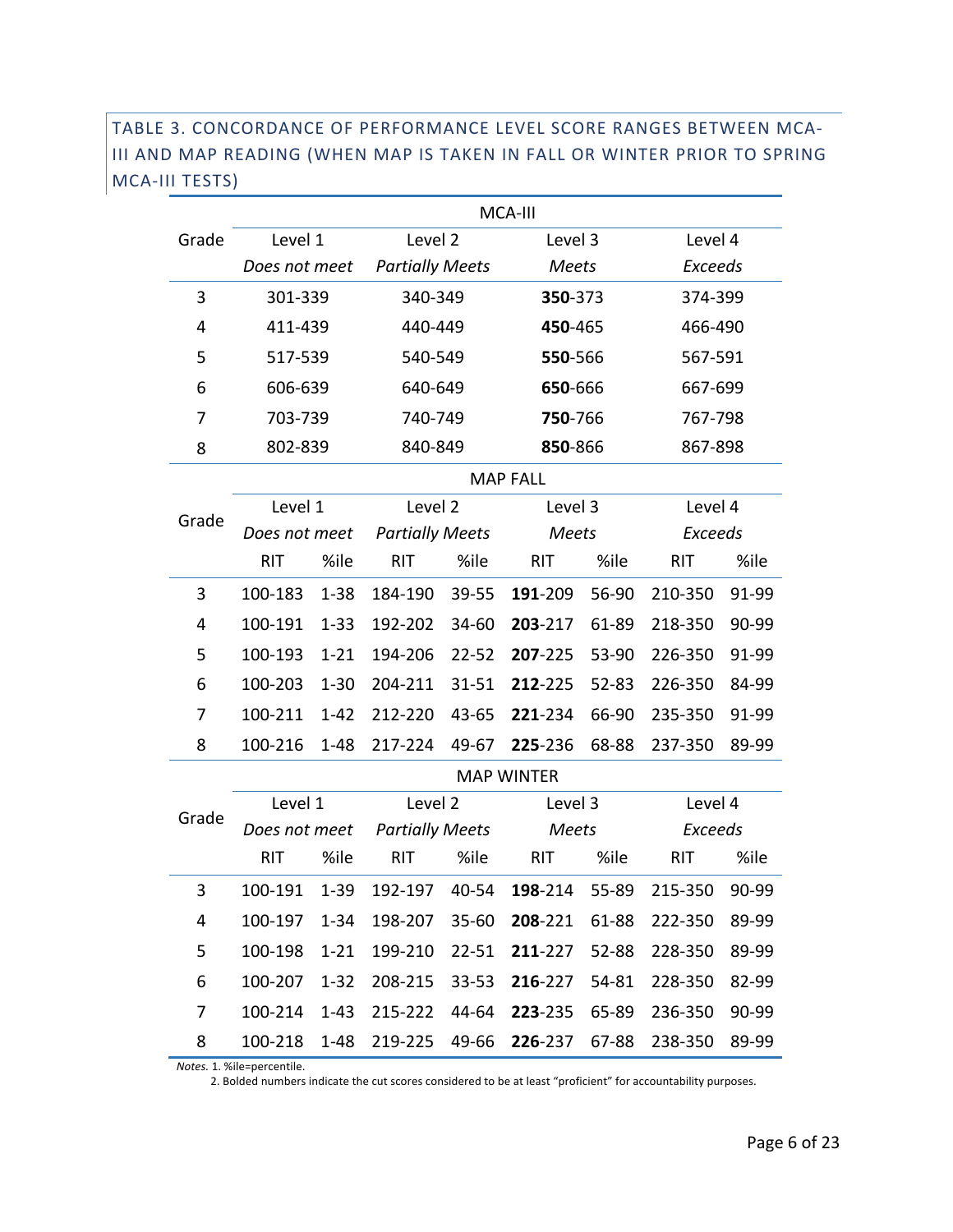#### TABLE 3. CONCORDANCE OF PERFORMANCE LEVEL SCORE RANGES BETWEEN MCA-III AND MAP READING (WHEN MAP IS TAKEN IN FALL OR WINTER PRIOR TO SPRING MCA-III TESTS)

|       |               |          |                        |           | MCA-III           |       |                |       |  |  |
|-------|---------------|----------|------------------------|-----------|-------------------|-------|----------------|-------|--|--|
| Grade | Level 1       |          | Level 2                |           | Level 3           |       | Level 4        |       |  |  |
|       | Does not meet |          | <b>Partially Meets</b> |           | <b>Meets</b>      |       | <b>Exceeds</b> |       |  |  |
| 3     | 301-339       |          | 340-349                |           | 350-373           |       | 374-399        |       |  |  |
| 4     | 411-439       |          | 440-449                |           | 450-465           |       | 466-490        |       |  |  |
| 5     | 517-539       |          | 540-549                |           | 550-566           |       | 567-591        |       |  |  |
| 6     | 606-639       |          | 640-649                |           | 650-666           |       | 667-699        |       |  |  |
| 7     | 703-739       |          | 740-749                |           | 750-766           |       | 767-798        |       |  |  |
| 8     | 802-839       |          | 840-849                |           | 850-866           |       | 867-898        |       |  |  |
|       |               |          |                        |           | <b>MAP FALL</b>   |       |                |       |  |  |
|       | Level 1       |          | Level 2                |           | Level 3           |       | Level 4        |       |  |  |
| Grade | Does not meet |          | <b>Partially Meets</b> |           | <b>Meets</b>      |       | <b>Exceeds</b> |       |  |  |
|       | <b>RIT</b>    | %ile     | %ile<br><b>RIT</b>     |           | <b>RIT</b>        | %ile  | <b>RIT</b>     | %ile  |  |  |
| 3     | 100-183       | $1 - 38$ | 184-190<br>39-55       |           | 191-209           | 56-90 | 210-350        | 91-99 |  |  |
| 4     | 100-191       | $1 - 33$ | 192-202<br>34-60       |           | 203-217           | 61-89 | 218-350        | 90-99 |  |  |
| 5     | 100-193       | $1 - 21$ | 194-206                | $22 - 52$ | 207-225           | 53-90 | 226-350        | 91-99 |  |  |
| 6     | 100-203       | $1 - 30$ | 204-211                | 31-51     | 212-225           | 52-83 | 226-350        | 84-99 |  |  |
| 7     | 100-211       | $1 - 42$ | 212-220                | 43-65     | 221-234           | 66-90 | 235-350        | 91-99 |  |  |
| 8     | 100-216       | $1 - 48$ | 217-224                | 49-67     | 225-236           | 68-88 | 237-350        | 89-99 |  |  |
|       |               |          |                        |           | <b>MAP WINTER</b> |       |                |       |  |  |
| Grade | Level 1       |          | Level 2                |           | Level 3           |       | Level 4        |       |  |  |
|       | Does not meet |          | <b>Partially Meets</b> |           | Meets             |       | <b>Exceeds</b> |       |  |  |
|       | <b>RIT</b>    | %ile     | <b>RIT</b>             | %ile      | <b>RIT</b>        | %ile  | <b>RIT</b>     | %ile  |  |  |
| 3     | 100-191       | $1 - 39$ | 192-197                | 40-54     | 198-214           | 55-89 | 215-350        | 90-99 |  |  |
| 4     | 100-197       | $1 - 34$ | 198-207                | $35 - 60$ | 208-221           | 61-88 | 222-350        | 89-99 |  |  |
| 5     | 100-198       | $1 - 21$ | 199-210                | 22-51     | 211-227           | 52-88 | 228-350        | 89-99 |  |  |
| 6     | 100-207       | $1 - 32$ | 208-215                | 33-53     | 216-227           | 54-81 | 228-350        | 82-99 |  |  |
| 7     | 100-214       | $1 - 43$ | 215-222                | 44-64     | 223-235 65-89     |       | 236-350        | 90-99 |  |  |
| 8     | 100-218 1-48  |          | 219-225                | 49-66     | 226-237 67-88     |       | 238-350        | 89-99 |  |  |

*Notes.* 1. %ile=percentile.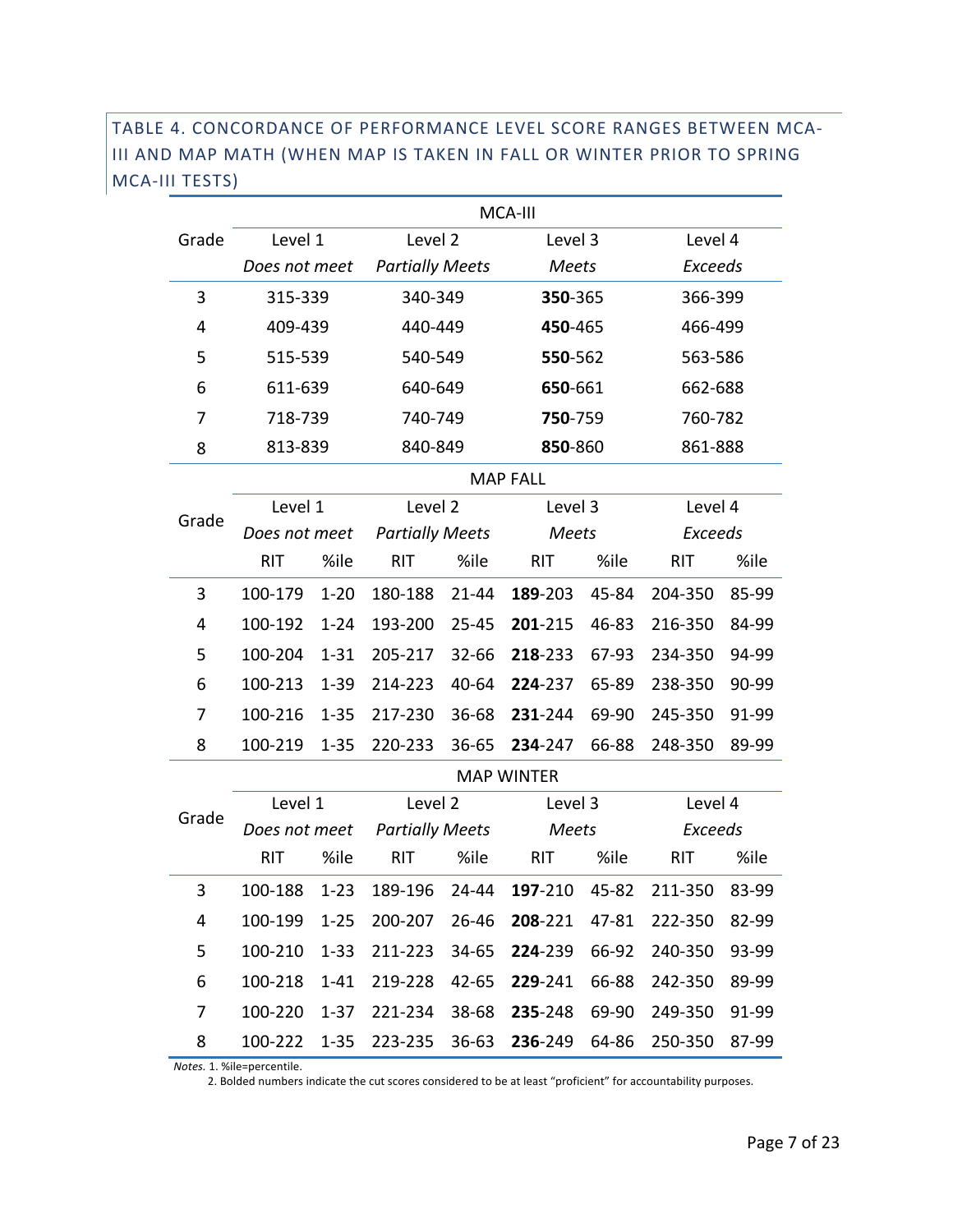#### TABLE 4. CONCORDANCE OF PERFORMANCE LEVEL SCORE RANGES BETWEEN MCA-III AND MAP MATH (WHEN MAP IS TAKEN IN FALL OR WINTER PRIOR TO SPRING MCA-III TESTS)

|       |               |          | MCA-III                    |       |                   |       |                |       |  |
|-------|---------------|----------|----------------------------|-------|-------------------|-------|----------------|-------|--|
| Grade | Level 1       |          | Level 2                    |       | Level 3           |       | Level 4        |       |  |
|       | Does not meet |          | <b>Partially Meets</b>     |       | <b>Meets</b>      |       | <b>Exceeds</b> |       |  |
| 3     | 315-339       |          | 340-349                    |       | 350-365           |       | 366-399        |       |  |
| 4     | 409-439       |          | 440-449                    |       | 450-465           |       | 466-499        |       |  |
| 5     | 515-539       |          | 540-549                    |       | 550-562           |       | 563-586        |       |  |
| 6     | 611-639       |          | 640-649                    |       | 650-661           |       | 662-688        |       |  |
| 7     | 718-739       |          | 740-749                    |       | 750-759           |       | 760-782        |       |  |
| 8     | 813-839       |          | 840-849                    |       | 850-860           |       | 861-888        |       |  |
|       |               |          |                            |       | <b>MAP FALL</b>   |       |                |       |  |
|       | Level 1       |          | Level 2                    |       | Level 3           |       | Level 4        |       |  |
| Grade | Does not meet |          | <b>Partially Meets</b>     |       | <b>Meets</b>      |       | <b>Exceeds</b> |       |  |
|       | <b>RIT</b>    | %ile     | %ile<br><b>RIT</b>         |       | <b>RIT</b>        | %ile  | <b>RIT</b>     | %ile  |  |
| 3     | 100-179       | $1 - 20$ | $21 - 44$<br>180-188       |       | 189-203           | 45-84 | 204-350        | 85-99 |  |
| 4     | 100-192       | $1 - 24$ | 193-200<br>$25 - 45$       |       | 201-215           | 46-83 | 216-350        | 84-99 |  |
| 5     | 100-204       | $1 - 31$ | 205-217                    | 32-66 | 218-233           | 67-93 | 234-350        | 94-99 |  |
| 6     | 100-213       | $1 - 39$ | 214-223                    | 40-64 | 224-237           | 65-89 | 238-350        | 90-99 |  |
| 7     | 100-216       | $1 - 35$ | 217-230                    | 36-68 | 231-244           | 69-90 | 245-350        | 91-99 |  |
| 8     | 100-219       | $1 - 35$ | 220-233                    | 36-65 | 234-247           | 66-88 | 248-350        | 89-99 |  |
|       |               |          |                            |       | <b>MAP WINTER</b> |       |                |       |  |
| Grade | Level 1       |          | Level 2                    |       | Level 3           |       | Level 4        |       |  |
|       | Does not meet |          | <b>Partially Meets</b>     |       | Meets             |       | <b>Exceeds</b> |       |  |
|       | <b>RIT</b>    | %ile     | <b>RIT</b>                 | %ile  | <b>RIT</b>        | %ile  | <b>RIT</b>     | %ile  |  |
| 3     | 100-188       | $1 - 23$ | 189-196                    | 24-44 | 197-210           | 45-82 | 211-350        | 83-99 |  |
| 4     | 100-199       | $1 - 25$ | 200-207                    | 26-46 | 208-221           | 47-81 | 222-350        | 82-99 |  |
| 5     | 100-210       | $1 - 33$ | 211-223                    | 34-65 | 224-239           | 66-92 | 240-350        | 93-99 |  |
| 6     | 100-218       | $1 - 41$ | 219-228                    | 42-65 | 229-241           | 66-88 | 242-350        | 89-99 |  |
| 7     | 100-220       | $1 - 37$ | 221-234                    | 38-68 | 235-248 69-90     |       | 249-350        | 91-99 |  |
| 8     |               |          | 100-222 1-35 223-235 36-63 |       | 236-249 64-86     |       | 250-350        | 87-99 |  |

 *Notes.* 1. %ile=percentile.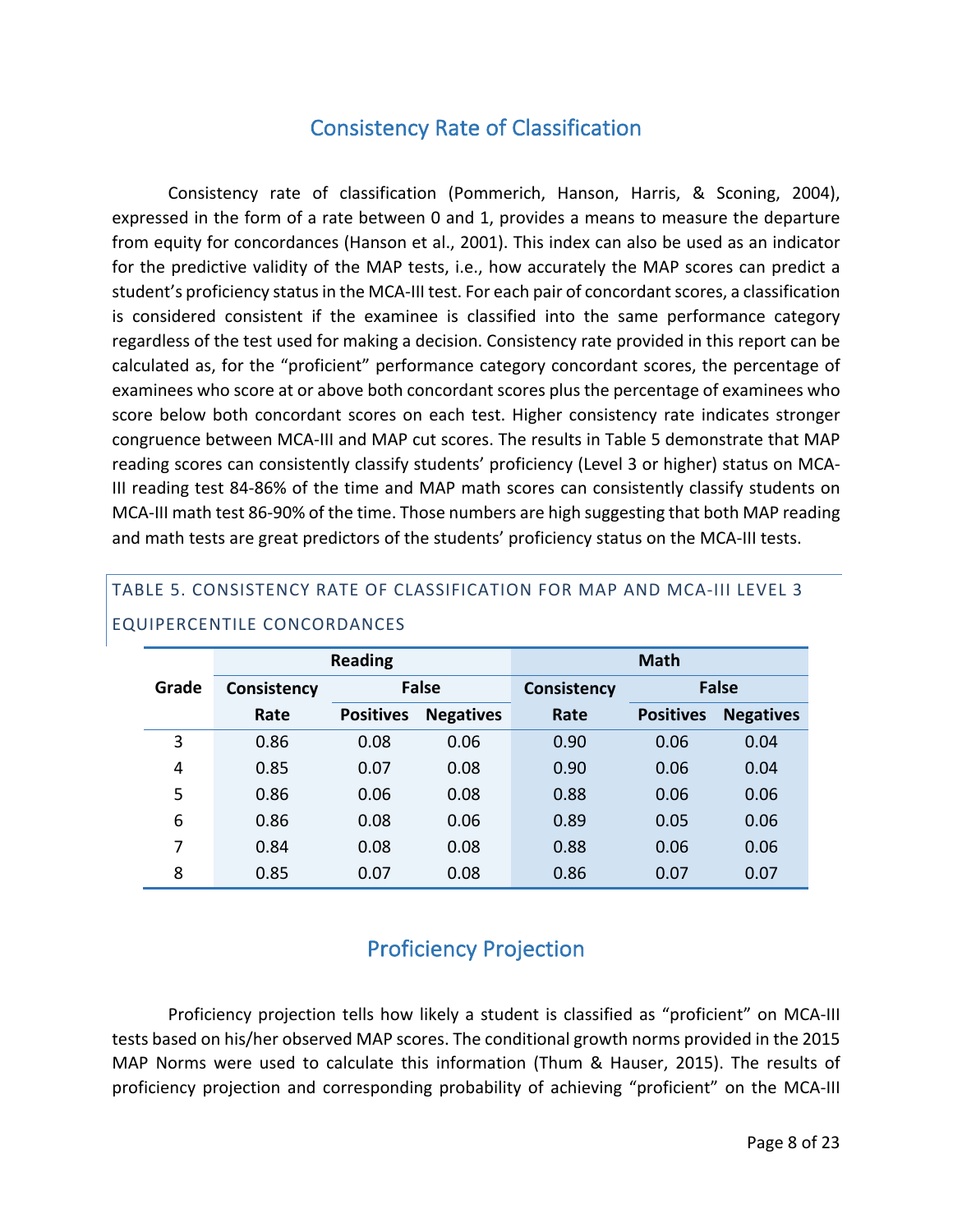# Consistency Rate of Classification

Consistency rate of classification (Pommerich, Hanson, Harris, & Sconing, 2004), expressed in the form of a rate between 0 and 1, provides a means to measure the departure from equity for concordances (Hanson et al., 2001). This index can also be used as an indicator for the predictive validity of the MAP tests, i.e., how accurately the MAP scores can predict a student's proficiency status in the MCA-III test. For each pair of concordant scores, a classification is considered consistent if the examinee is classified into the same performance category regardless of the test used for making a decision. Consistency rate provided in this report can be calculated as, for the "proficient" performance category concordant scores, the percentage of examinees who score at or above both concordant scores plus the percentage of examinees who score below both concordant scores on each test. Higher consistency rate indicates stronger congruence between MCA-III and MAP cut scores. The results in Table 5 demonstrate that MAP reading scores can consistently classify students' proficiency (Level 3 or higher) status on MCA-III reading test 84-86% of the time and MAP math scores can consistently classify students on MCA-III math test 86-90% of the time. Those numbers are high suggesting that both MAP reading and math tests are great predictors of the students' proficiency status on the MCA-III tests.

|       |                    | <b>Reading</b>   |                  | <b>Math</b>        |                  |                  |  |  |  |
|-------|--------------------|------------------|------------------|--------------------|------------------|------------------|--|--|--|
| Grade | <b>Consistency</b> |                  | <b>False</b>     | <b>Consistency</b> |                  | <b>False</b>     |  |  |  |
|       | Rate               | <b>Positives</b> | <b>Negatives</b> | Rate               | <b>Positives</b> | <b>Negatives</b> |  |  |  |
| 3     | 0.86               | 0.08             | 0.06             | 0.90               | 0.06             | 0.04             |  |  |  |
| 4     | 0.85               | 0.07             | 0.08             | 0.90               | 0.06             | 0.04             |  |  |  |
| 5     | 0.86               | 0.06             | 0.08             | 0.88               | 0.06             | 0.06             |  |  |  |
| 6     | 0.86               | 0.08             | 0.06             | 0.89               | 0.05             | 0.06             |  |  |  |
| 7     | 0.84               | 0.08             | 0.08             | 0.88               | 0.06             | 0.06             |  |  |  |
| 8     | 0.85               | 0.07             | 0.08             | 0.86               | 0.07             | 0.07             |  |  |  |

## TABLE 5. CONSISTENCY RATE OF CLASSIFICATION FOR MAP AND MCA-III LEVEL 3 EQUIPERCENTILE CONCORDANCES

# Proficiency Projection

Proficiency projection tells how likely a student is classified as "proficient" on MCA-III tests based on his/her observed MAP scores. The conditional growth norms provided in the 2015 MAP Norms were used to calculate this information (Thum & Hauser, 2015). The results of proficiency projection and corresponding probability of achieving "proficient" on the MCA-III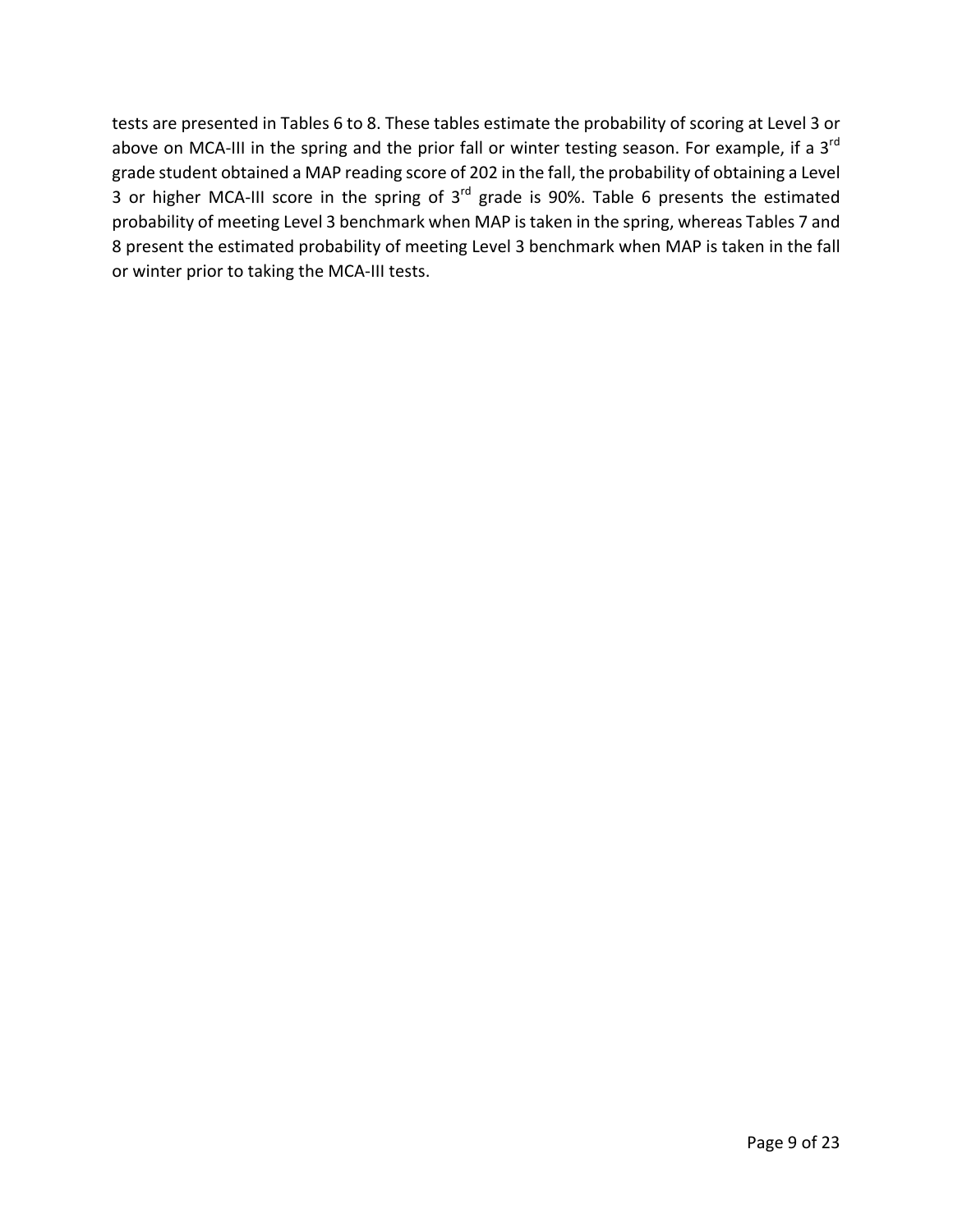tests are presented in Tables 6 to 8. These tables estimate the probability of scoring at Level 3 or above on MCA-III in the spring and the prior fall or winter testing season. For example, if a  $3<sup>rd</sup>$ grade student obtained a MAP reading score of 202 in the fall, the probability of obtaining a Level 3 or higher MCA-III score in the spring of  $3<sup>rd</sup>$  grade is 90%. Table 6 presents the estimated probability of meeting Level 3 benchmark when MAP is taken in the spring, whereas Tables 7 and 8 present the estimated probability of meeting Level 3 benchmark when MAP is taken in the fall or winter prior to taking the MCA-III tests.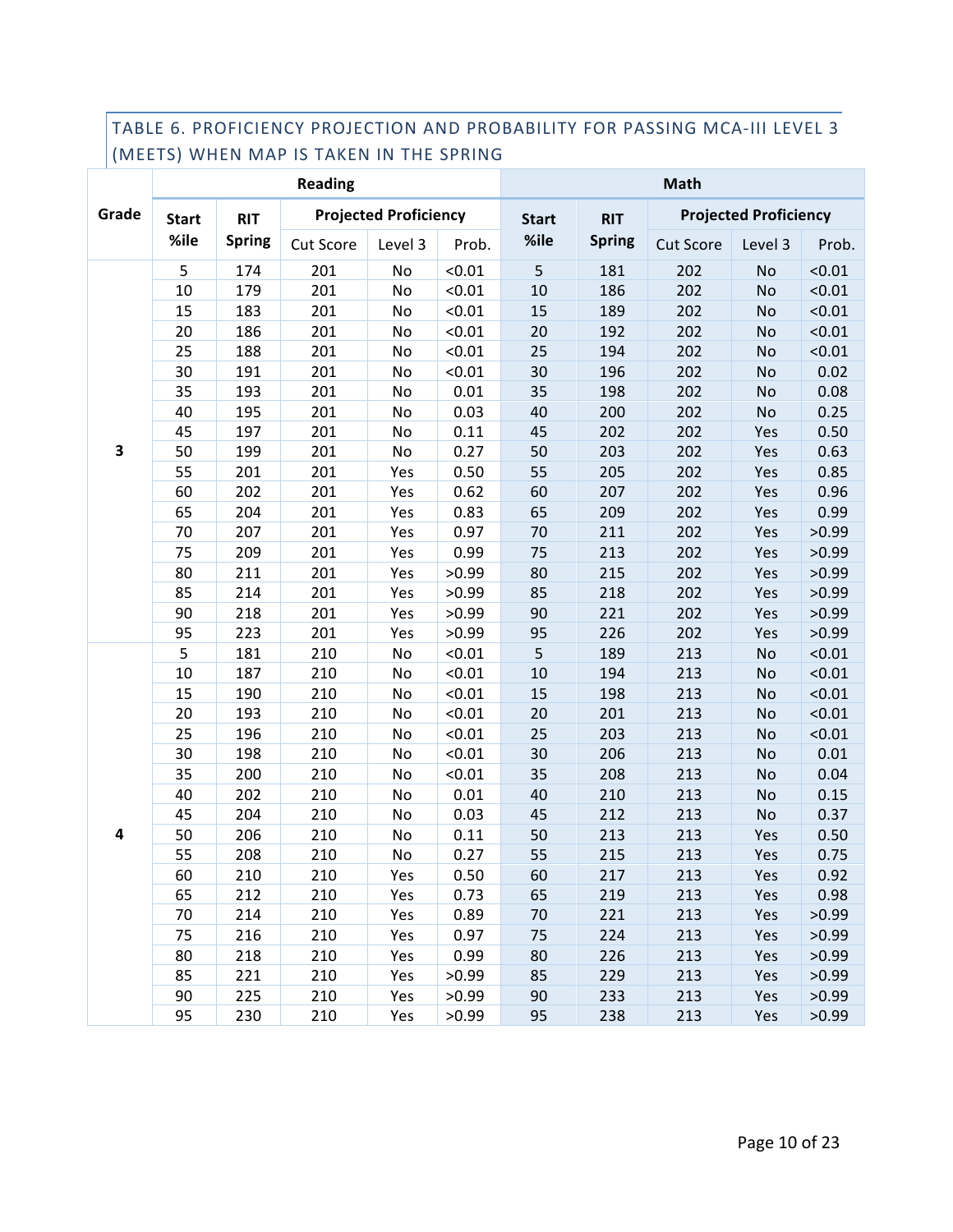#### TABLE 6. PROFICIENCY PROJECTION AND PROBABILITY FOR PASSING MCA-III LEVEL 3 (MEETS) WHEN MAP IS TAKEN IN THE SPRING

|                         |              |               | <b>Reading</b> |                              |        | <b>Math</b>  |               |                  |                              |        |  |
|-------------------------|--------------|---------------|----------------|------------------------------|--------|--------------|---------------|------------------|------------------------------|--------|--|
| Grade                   | <b>Start</b> | <b>RIT</b>    |                | <b>Projected Proficiency</b> |        | <b>Start</b> | <b>RIT</b>    |                  | <b>Projected Proficiency</b> |        |  |
|                         | %ile         | <b>Spring</b> | Cut Score      | Level 3                      | Prob.  | %ile         | <b>Spring</b> | <b>Cut Score</b> | Level 3                      | Prob.  |  |
|                         | 5            | 174           | 201            | No                           | < 0.01 | 5            | 181           | 202              | No                           | < 0.01 |  |
|                         | $10\,$       | 179           | 201            | No                           | < 0.01 | 10           | 186           | 202              | No                           | < 0.01 |  |
|                         | 15           | 183           | 201            | No                           | < 0.01 | 15           | 189           | 202              | No                           | < 0.01 |  |
|                         | 20           | 186           | 201            | No                           | < 0.01 | 20           | 192           | 202              | No                           | < 0.01 |  |
|                         | 25           | 188           | 201            | No                           | < 0.01 | 25           | 194           | 202              | No                           | < 0.01 |  |
|                         | 30           | 191           | 201            | No                           | < 0.01 | 30           | 196           | 202              | No                           | 0.02   |  |
|                         | 35           | 193           | 201            | No                           | 0.01   | 35           | 198           | 202              | No                           | 0.08   |  |
|                         | 40           | 195           | 201            | No                           | 0.03   | 40           | 200           | 202              | No                           | 0.25   |  |
|                         | 45           | 197           | 201            | No                           | 0.11   | 45           | 202           | 202              | Yes                          | 0.50   |  |
| $\overline{\mathbf{3}}$ | 50           | 199           | 201            | No                           | 0.27   | 50           | 203           | 202              | Yes                          | 0.63   |  |
|                         | 55           | 201           | 201            | Yes                          | 0.50   | 55           | 205           | 202              | Yes                          | 0.85   |  |
|                         | 60           | 202           | 201            | Yes                          | 0.62   | 60           | 207           | 202              | Yes                          | 0.96   |  |
|                         | 65           | 204           | 201            | Yes                          | 0.83   | 65           | 209           | 202              | Yes                          | 0.99   |  |
|                         | 70           | 207           | 201            | Yes                          | 0.97   | 70           | 211           | 202              | Yes                          | >0.99  |  |
|                         | 75           | 209           | 201            | Yes                          | 0.99   | 75           | 213           | 202              | Yes                          | >0.99  |  |
|                         | 80           | 211           | 201            | Yes                          | >0.99  | 80           | 215           | 202              | Yes                          | >0.99  |  |
|                         | 85           | 214           | 201            | Yes                          | >0.99  | 85           | 218           | 202              | Yes                          | >0.99  |  |
|                         | 90           | 218           | 201            | Yes                          | >0.99  | 90           | 221           | 202              | Yes                          | >0.99  |  |
|                         | 95           | 223           | 201            | Yes                          | >0.99  | 95           | 226           | 202              | Yes                          | >0.99  |  |
|                         | 5            | 181           | 210            | No                           | < 0.01 | 5            | 189           | 213              | No                           | < 0.01 |  |
|                         | $10\,$       | 187           | 210            | No                           | < 0.01 | 10           | 194           | 213              | No                           | < 0.01 |  |
|                         | 15           | 190           | 210            | No                           | < 0.01 | 15           | 198           | 213              | No                           | < 0.01 |  |
|                         | 20           | 193           | 210            | No                           | < 0.01 | 20           | 201           | 213              | No                           | < 0.01 |  |
|                         | 25           | 196           | 210            | No                           | < 0.01 | 25           | 203           | 213              | No                           | < 0.01 |  |
|                         | 30           | 198           | 210            | No                           | < 0.01 | 30           | 206           | 213              | No                           | 0.01   |  |
|                         | 35           | 200           | 210            | No                           | < 0.01 | 35           | 208           | 213              | No                           | 0.04   |  |
|                         | 40           | 202           | 210            | No                           | 0.01   | 40           | 210           | 213              | No                           | 0.15   |  |
|                         | 45           | 204           | 210            | No                           | 0.03   | 45           | 212           | 213              | No                           | 0.37   |  |
| $\overline{\mathbf{4}}$ | 50           | 206           | 210            | No                           | 0.11   | 50           | 213           | 213              | Yes                          | 0.50   |  |
|                         | 55           | 208           | 210            | No                           | 0.27   | 55           | 215           | 213              | Yes                          | 0.75   |  |
|                         | 60           | 210           | 210            | Yes                          | 0.50   | 60           | 217           | 213              | Yes                          | 0.92   |  |
|                         | 65           | 212           | 210            | Yes                          | 0.73   | 65           | 219           | 213              | Yes                          | 0.98   |  |
|                         | 70           | 214           | 210            | Yes                          | 0.89   | 70           | 221           | 213              | Yes                          | >0.99  |  |
|                         | 75           | 216           | 210            | Yes                          | 0.97   | 75           | 224           | 213              | Yes                          | >0.99  |  |
|                         | 80           | 218           | 210            | Yes                          | 0.99   | 80           | 226           | 213              | Yes                          | >0.99  |  |
|                         | 85           | 221           | 210            | Yes                          | >0.99  | 85           | 229           | 213              | Yes                          | >0.99  |  |
|                         | 90           | 225           | 210            | Yes                          | >0.99  | 90           | 233           | 213              | Yes                          | >0.99  |  |
|                         | 95           | 230           | 210            | Yes                          | >0.99  | 95           | 238           | 213              | Yes                          | >0.99  |  |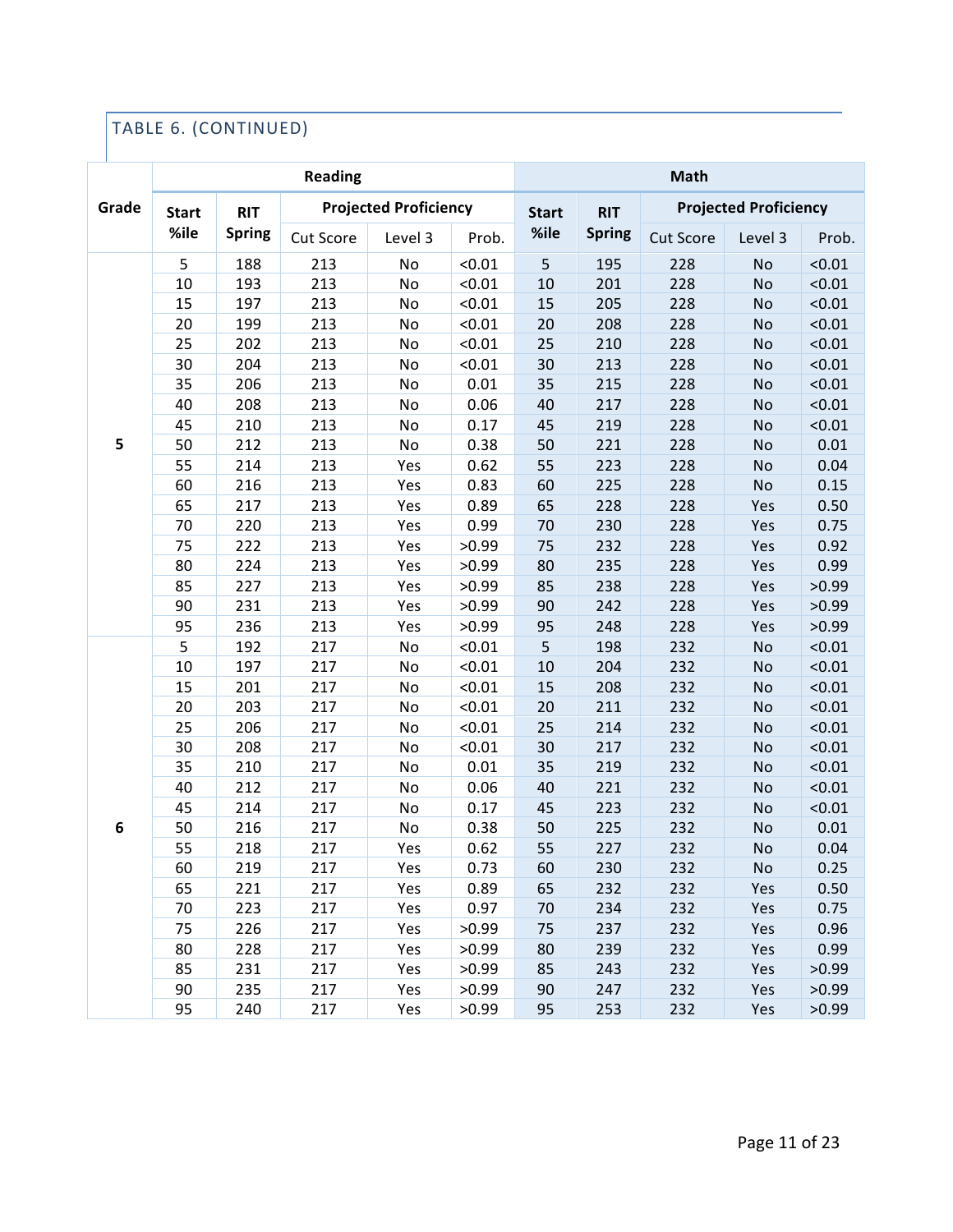## TABLE 6. (CONTINUED)

|       |              |               | <b>Reading</b> |                              | <b>Math</b> |              |               |                  |                              |        |
|-------|--------------|---------------|----------------|------------------------------|-------------|--------------|---------------|------------------|------------------------------|--------|
| Grade | <b>Start</b> | <b>RIT</b>    |                | <b>Projected Proficiency</b> |             | <b>Start</b> | <b>RIT</b>    |                  | <b>Projected Proficiency</b> |        |
|       | %ile         | <b>Spring</b> | Cut Score      | Level 3                      | Prob.       | %ile         | <b>Spring</b> | <b>Cut Score</b> | Level 3                      | Prob.  |
|       | 5            | 188           | 213            | No                           | < 0.01      | 5            | 195           | 228              | No                           | < 0.01 |
|       | 10           | 193           | 213            | No                           | < 0.01      | 10           | 201           | 228              | No                           | < 0.01 |
|       | 15           | 197           | 213            | No                           | < 0.01      | 15           | 205           | 228              | No                           | < 0.01 |
|       | 20           | 199           | 213            | No                           | < 0.01      | 20           | 208           | 228              | No                           | < 0.01 |
|       | 25           | 202           | 213            | No                           | < 0.01      | 25           | 210           | 228              | No                           | < 0.01 |
|       | 30           | 204           | 213            | No                           | < 0.01      | 30           | 213           | 228              | No                           | < 0.01 |
|       | 35           | 206           | 213            | No                           | 0.01        | 35           | 215           | 228              | <b>No</b>                    | < 0.01 |
|       | 40           | 208           | 213            | No                           | 0.06        | 40           | 217           | 228              | No                           | < 0.01 |
|       | 45           | 210           | 213            | No                           | 0.17        | 45           | 219           | 228              | No                           | < 0.01 |
| 5     | 50           | 212           | 213            | No                           | 0.38        | 50           | 221           | 228              | No                           | 0.01   |
|       | 55           | 214           | 213            | Yes                          | 0.62        | 55           | 223           | 228              | No                           | 0.04   |
|       | 60           | 216           | 213            | Yes                          | 0.83        | 60           | 225           | 228              | <b>No</b>                    | 0.15   |
|       | 65           | 217           | 213            | Yes                          | 0.89        | 65           | 228           | 228              | Yes                          | 0.50   |
|       | 70           | 220           | 213            | Yes                          | 0.99        | 70           | 230           | 228              | Yes                          | 0.75   |
|       | 75           | 222           | 213            | Yes                          | >0.99       | 75           | 232           | 228              | Yes                          | 0.92   |
|       | 80           | 224           | 213            | Yes                          | >0.99       | 80           | 235           | 228              | Yes                          | 0.99   |
|       | 85           | 227           | 213            | Yes                          | >0.99       | 85           | 238           | 228              | Yes                          | >0.99  |
|       | 90           | 231           | 213            | Yes                          | >0.99       | 90           | 242           | 228              | Yes                          | >0.99  |
|       | 95           | 236           | 213            | Yes                          | >0.99       | 95           | 248           | 228              | Yes                          | >0.99  |
|       | 5            | 192           | 217            | No                           | < 0.01      | 5            | 198           | 232              | No                           | < 0.01 |
|       | 10           | 197           | 217            | No                           | < 0.01      | 10           | 204           | 232              | No                           | < 0.01 |
|       | 15           | 201           | 217            | No                           | < 0.01      | 15           | 208           | 232              | No                           | < 0.01 |
|       | 20           | 203           | 217            | No                           | < 0.01      | 20           | 211           | 232              | No                           | < 0.01 |
|       | 25           | 206           | 217            | No                           | < 0.01      | 25           | 214           | 232              | No                           | < 0.01 |
|       | 30           | 208           | 217            | No                           | < 0.01      | 30           | 217           | 232              | <b>No</b>                    | < 0.01 |
|       | 35           | 210           | 217            | No                           | 0.01        | 35           | 219           | 232              | <b>No</b>                    | < 0.01 |
|       | 40           | 212           | 217            | No                           | 0.06        | 40           | 221           | 232              | No                           | < 0.01 |
|       | 45           | 214           | 217            | No                           | 0.17        | 45           | 223           | 232              | No                           | < 0.01 |
| 6     | 50           | 216           | 217            | No                           | 0.38        | 50           | 225           | 232              | No                           | 0.01   |
|       | 55           | 218           | 217            | Yes                          | 0.62        | 55           | 227           | 232              | No                           | 0.04   |
|       | 60           | 219           | 217            | Yes                          | 0.73        | 60           | 230           | 232              | No                           | 0.25   |
|       | 65           | 221           | 217            | Yes                          | 0.89        | 65           | 232           | 232              | Yes                          | 0.50   |
|       | 70           | 223           | 217            | Yes                          | 0.97        | 70           | 234           | 232              | Yes                          | 0.75   |
|       | 75           | 226           | 217            | Yes                          | >0.99       | 75           | 237           | 232              | Yes                          | 0.96   |
|       | 80           | 228           | 217            | Yes                          | >0.99       | 80           | 239           | 232              | Yes                          | 0.99   |
|       | 85           | 231           | 217            | Yes                          | >0.99       | 85           | 243           | 232              | Yes                          | >0.99  |
|       | 90           | 235           | 217            | Yes                          | >0.99       | 90           | 247           | 232              | Yes                          | >0.99  |
|       | 95           | 240           | 217            | Yes                          | >0.99       | 95           | 253           | 232              | Yes                          | >0.99  |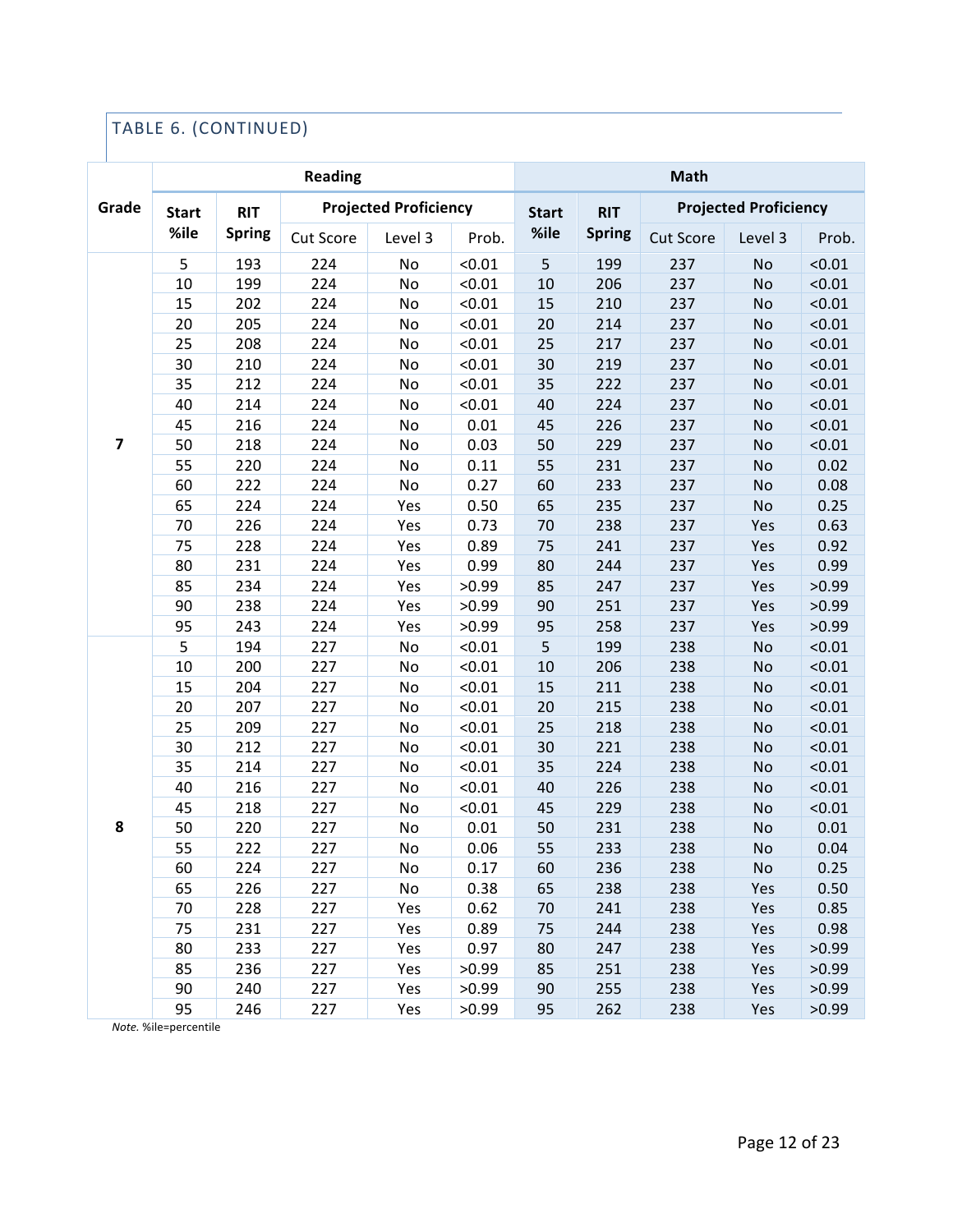## TABLE 6. (CONTINUED)

|                         |              |               | <b>Reading</b> |                              |        | Math         |               |                  |                              |        |  |
|-------------------------|--------------|---------------|----------------|------------------------------|--------|--------------|---------------|------------------|------------------------------|--------|--|
| Grade                   | <b>Start</b> | <b>RIT</b>    |                | <b>Projected Proficiency</b> |        | <b>Start</b> | <b>RIT</b>    |                  | <b>Projected Proficiency</b> |        |  |
|                         | %ile         | <b>Spring</b> | Cut Score      | Level 3                      | Prob.  | %ile         | <b>Spring</b> | <b>Cut Score</b> | Level 3                      | Prob.  |  |
|                         | 5            | 193           | 224            | No                           | < 0.01 | 5            | 199           | 237              | No                           | < 0.01 |  |
|                         | 10           | 199           | 224            | No                           | < 0.01 | 10           | 206           | 237              | <b>No</b>                    | < 0.01 |  |
|                         | 15           | 202           | 224            | No                           | < 0.01 | 15           | 210           | 237              | <b>No</b>                    | < 0.01 |  |
|                         | 20           | 205           | 224            | No                           | < 0.01 | 20           | 214           | 237              | No                           | < 0.01 |  |
|                         | 25           | 208           | 224            | No                           | < 0.01 | 25           | 217           | 237              | <b>No</b>                    | < 0.01 |  |
|                         | 30           | 210           | 224            | No                           | < 0.01 | 30           | 219           | 237              | <b>No</b>                    | < 0.01 |  |
|                         | 35           | 212           | 224            | No                           | < 0.01 | 35           | 222           | 237              | No                           | < 0.01 |  |
|                         | 40           | 214           | 224            | No                           | < 0.01 | 40           | 224           | 237              | No                           | < 0.01 |  |
|                         | 45           | 216           | 224            | No                           | 0.01   | 45           | 226           | 237              | <b>No</b>                    | < 0.01 |  |
| $\overline{\mathbf{z}}$ | 50           | 218           | 224            | No                           | 0.03   | 50           | 229           | 237              | <b>No</b>                    | < 0.01 |  |
|                         | 55           | 220           | 224            | No                           | 0.11   | 55           | 231           | 237              | No                           | 0.02   |  |
|                         | 60           | 222           | 224            | No                           | 0.27   | 60           | 233           | 237              | <b>No</b>                    | 0.08   |  |
|                         | 65           | 224           | 224            | Yes                          | 0.50   | 65           | 235           | 237              | <b>No</b>                    | 0.25   |  |
|                         | 70           | 226           | 224            | Yes                          | 0.73   | 70           | 238           | 237              | Yes                          | 0.63   |  |
|                         | 75           | 228           | 224            | Yes                          | 0.89   | 75           | 241           | 237              | Yes                          | 0.92   |  |
|                         | 80           | 231           | 224            | Yes                          | 0.99   | 80           | 244           | 237              | Yes                          | 0.99   |  |
|                         | 85           | 234           | 224            | Yes                          | >0.99  | 85           | 247           | 237              | Yes                          | >0.99  |  |
|                         | 90           | 238           | 224            | Yes                          | >0.99  | 90           | 251           | 237              | Yes                          | >0.99  |  |
|                         | 95           | 243           | 224            | Yes                          | >0.99  | 95           | 258           | 237              | Yes                          | >0.99  |  |
|                         | 5            | 194           | 227            | No                           | < 0.01 | 5            | 199           | 238              | No                           | < 0.01 |  |
|                         | 10           | 200           | 227            | No                           | < 0.01 | 10           | 206           | 238              | <b>No</b>                    | < 0.01 |  |
|                         | 15           | 204           | 227            | No                           | < 0.01 | 15           | 211           | 238              | <b>No</b>                    | < 0.01 |  |
|                         | 20           | 207           | 227            | No                           | < 0.01 | 20           | 215           | 238              | No                           | < 0.01 |  |
|                         | 25           | 209           | 227            | No                           | < 0.01 | 25           | 218           | 238              | <b>No</b>                    | < 0.01 |  |
|                         | 30           | 212           | 227            | No                           | < 0.01 | 30           | 221           | 238              | <b>No</b>                    | < 0.01 |  |
|                         | 35           | 214           | 227            | No                           | < 0.01 | 35           | 224           | 238              | No                           | < 0.01 |  |
|                         | 40           | 216           | 227            | No                           | < 0.01 | 40           | 226           | 238              | No                           | < 0.01 |  |
|                         | 45           | 218           | 227            | No                           | < 0.01 | 45           | 229           | 238              | No                           | < 0.01 |  |
| 8                       | 50           | 220           | 227            | No                           | 0.01   | 50           | 231           | 238              | No                           | 0.01   |  |
|                         | 55           | 222           | 227            | No                           | 0.06   | 55           | 233           | 238              | No                           | 0.04   |  |
|                         | 60           | 224           | 227            | No                           | 0.17   | 60           | 236           | 238              | No                           | 0.25   |  |
|                         | 65           | 226           | 227            | No                           | 0.38   | 65           | 238           | 238              | Yes                          | 0.50   |  |
|                         | 70           | 228           | 227            | Yes                          | 0.62   | 70           | 241           | 238              | Yes                          | 0.85   |  |
|                         | 75           | 231           | 227            | Yes                          | 0.89   | 75           | 244           | 238              | Yes                          | 0.98   |  |
|                         | 80           | 233           | 227            | Yes                          | 0.97   | 80           | 247           | 238              | Yes                          | >0.99  |  |
|                         | 85           | 236           | 227            | Yes                          | >0.99  | 85           | 251           | 238              | Yes                          | >0.99  |  |
|                         | 90           | 240           | 227            | Yes                          | >0.99  | 90           | 255           | 238              | Yes                          | >0.99  |  |
|                         | 95           | 246           | 227            | Yes                          | >0.99  | 95           | 262           | 238              | Yes                          | >0.99  |  |

*Note.* %ile=percentile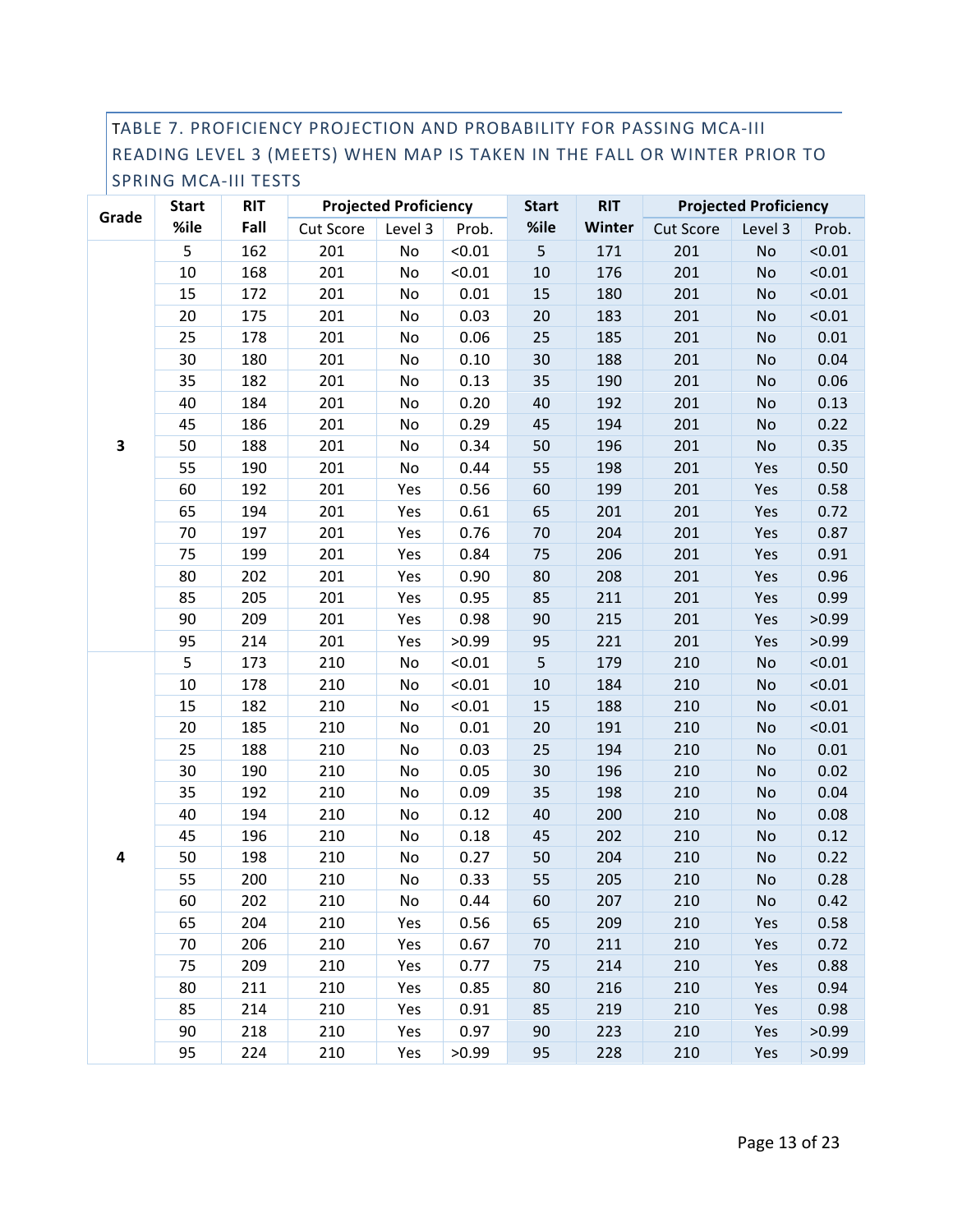#### TABLE 7. PROFICIENCY PROJECTION AND PROBABILITY FOR PASSING MCA-III READING LEVEL 3 (MEETS) WHEN MAP IS TAKEN IN THE FALL OR WINTER PRIOR TO SPRING MCA-III TESTS

|       | <b>Start</b> | <b>RIT</b> |                  | <b>Projected Proficiency</b> |        | <b>Start</b> | <b>RIT</b> |                  | <b>Projected Proficiency</b> |        |
|-------|--------------|------------|------------------|------------------------------|--------|--------------|------------|------------------|------------------------------|--------|
| Grade | %ile         | Fall       | <b>Cut Score</b> | Level 3                      | Prob.  | %ile         | Winter     | <b>Cut Score</b> | Level 3                      | Prob.  |
|       | 5            | 162        | 201              | No                           | < 0.01 | 5            | 171        | 201              | No                           | < 0.01 |
|       | 10           | 168        | 201              | No                           | < 0.01 | $10\,$       | 176        | 201              | No                           | < 0.01 |
|       | 15           | 172        | 201              | No                           | 0.01   | 15           | 180        | 201              | No                           | < 0.01 |
|       | 20           | 175        | 201              | No                           | 0.03   | 20           | 183        | 201              | No                           | < 0.01 |
|       | 25           | 178        | 201              | No                           | 0.06   | 25           | 185        | 201              | No                           | 0.01   |
|       | 30           | 180        | 201              | No                           | 0.10   | 30           | 188        | 201              | No                           | 0.04   |
|       | 35           | 182        | 201              | No                           | 0.13   | 35           | 190        | 201              | No                           | 0.06   |
|       | 40           | 184        | 201              | No                           | 0.20   | 40           | 192        | 201              | No                           | 0.13   |
|       | 45           | 186        | 201              | No                           | 0.29   | 45           | 194        | 201              | No                           | 0.22   |
| 3     | 50           | 188        | 201              | No                           | 0.34   | 50           | 196        | 201              | No                           | 0.35   |
|       | 55           | 190        | 201              | No                           | 0.44   | 55           | 198        | 201              | Yes                          | 0.50   |
|       | 60           | 192        | 201              | Yes                          | 0.56   | 60           | 199        | 201              | Yes                          | 0.58   |
|       | 65           | 194        | 201              | Yes                          | 0.61   | 65           | 201        | 201              | Yes                          | 0.72   |
|       | 70           | 197        | 201              | Yes                          | 0.76   | 70           | 204        | 201              | Yes                          | 0.87   |
|       | 75           | 199        | 201              | Yes                          | 0.84   | 75           | 206        | 201              | Yes                          | 0.91   |
|       | 80           | 202        | 201              | Yes                          | 0.90   | 80           | 208        | 201              | Yes                          | 0.96   |
|       | 85           | 205        | 201              | Yes                          | 0.95   | 85           | 211        | 201              | Yes                          | 0.99   |
|       | 90           | 209        | 201              | Yes                          | 0.98   | 90           | 215        | 201              | Yes                          | >0.99  |
|       | 95           | 214        | 201              | Yes                          | >0.99  | 95           | 221        | 201              | Yes                          | >0.99  |
|       | 5            | 173        | 210              | No                           | < 0.01 | 5            | 179        | 210              | <b>No</b>                    | < 0.01 |
|       | 10           | 178        | 210              | No                           | < 0.01 | $10\,$       | 184        | 210              | No                           | < 0.01 |
|       | 15           | 182        | 210              | No                           | < 0.01 | 15           | 188        | 210              | No                           | < 0.01 |
|       | 20           | 185        | 210              | No                           | 0.01   | 20           | 191        | 210              | No                           | < 0.01 |
|       | 25           | 188        | 210              | No                           | 0.03   | 25           | 194        | 210              | No                           | 0.01   |
|       | 30           | 190        | 210              | No                           | 0.05   | 30           | 196        | 210              | No                           | 0.02   |
|       | 35           | 192        | 210              | No                           | 0.09   | 35           | 198        | 210              | No                           | 0.04   |
|       | 40           | 194        | 210              | No                           | 0.12   | 40           | 200        | 210              | No                           | 0.08   |
|       | 45           | 196        | 210              | No                           | 0.18   | 45           | 202        | 210              | No                           | 0.12   |
| 4     | 50           | 198        | 210              | No                           | 0.27   | 50           | 204        | 210              | No                           | 0.22   |
|       | 55           | 200        | 210              | No                           | 0.33   | 55           | 205        | 210              | No                           | 0.28   |
|       | 60           | 202        | 210              | No                           | 0.44   | 60           | 207        | 210              | No                           | 0.42   |
|       | 65           | 204        | 210              | Yes                          | 0.56   | 65           | 209        | 210              | Yes                          | 0.58   |
|       | 70           | 206        | 210              | Yes                          | 0.67   | 70           | 211        | 210              | Yes                          | 0.72   |
|       | 75           | 209        | 210              | Yes                          | 0.77   | 75           | 214        | 210              | Yes                          | 0.88   |
|       | 80           | 211        | 210              | Yes                          | 0.85   | 80           | 216        | 210              | Yes                          | 0.94   |
|       | 85           | 214        | 210              | Yes                          | 0.91   | 85           | 219        | 210              | Yes                          | 0.98   |
|       | 90           | 218        | 210              | Yes                          | 0.97   | 90           | 223        | 210              | Yes                          | >0.99  |
|       | 95           | 224        | 210              | Yes                          | >0.99  | 95           | 228        | 210              | Yes                          | >0.99  |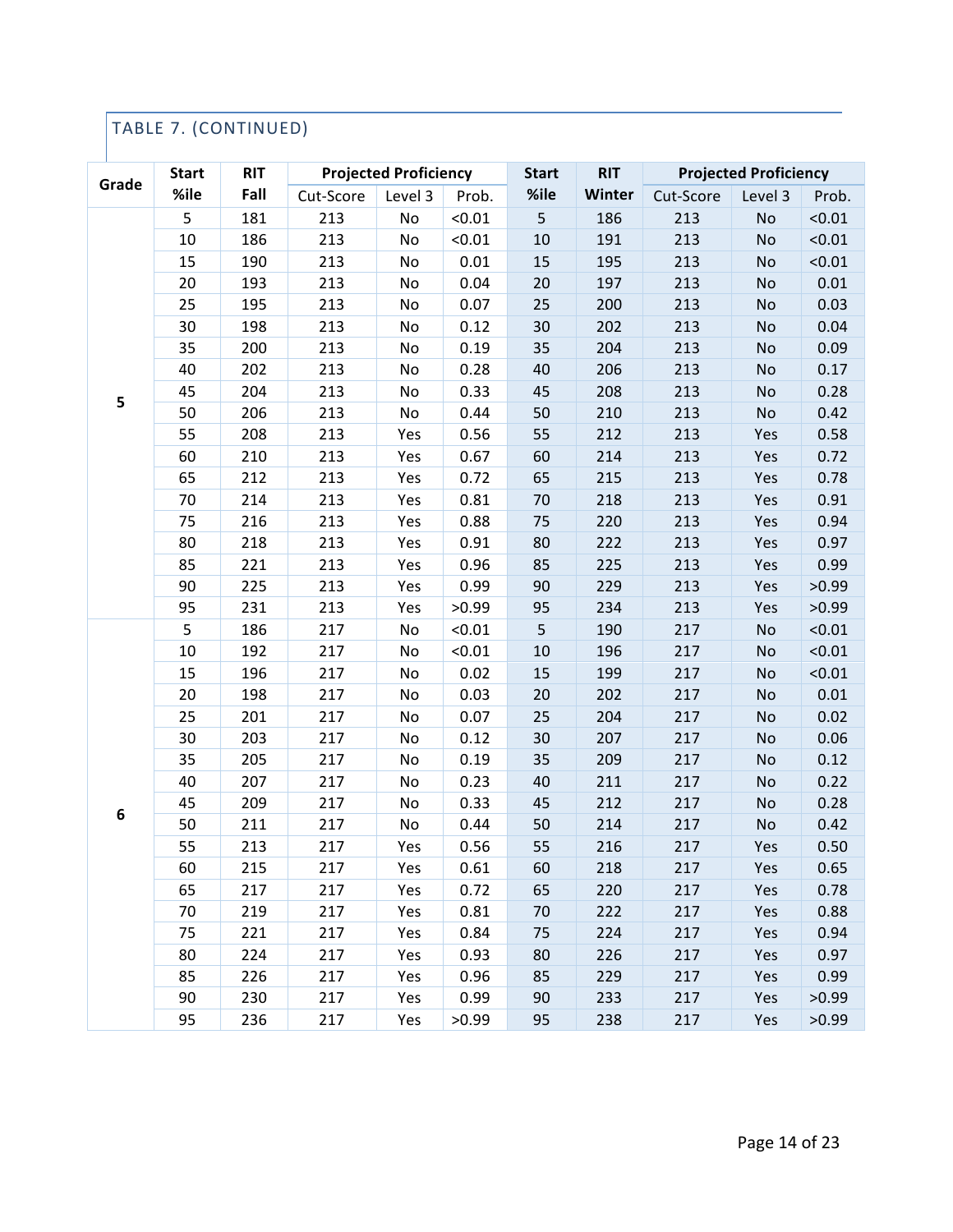## TABLE 7. (CONTINUED)

| Grade | <b>Start</b> | <b>RIT</b> |           | <b>Projected Proficiency</b> |        | <b>Start</b> | <b>RIT</b> |           | <b>Projected Proficiency</b> |        |
|-------|--------------|------------|-----------|------------------------------|--------|--------------|------------|-----------|------------------------------|--------|
|       | %ile         | Fall       | Cut-Score | Level 3                      | Prob.  | %ile         | Winter     | Cut-Score | Level 3                      | Prob.  |
|       | 5            | 181        | 213       | No                           | < 0.01 | 5            | 186        | 213       | No                           | < 0.01 |
|       | 10           | 186        | 213       | No                           | < 0.01 | $10\,$       | 191        | 213       | <b>No</b>                    | < 0.01 |
|       | 15           | 190        | 213       | No                           | 0.01   | 15           | 195        | 213       | No                           | < 0.01 |
|       | 20           | 193        | 213       | No                           | 0.04   | 20           | 197        | 213       | No                           | 0.01   |
|       | 25           | 195        | 213       | No                           | 0.07   | 25           | 200        | 213       | No                           | 0.03   |
|       | 30           | 198        | 213       | No                           | 0.12   | 30           | 202        | 213       | No                           | 0.04   |
|       | 35           | 200        | 213       | No                           | 0.19   | 35           | 204        | 213       | No                           | 0.09   |
|       | 40           | 202        | 213       | No                           | 0.28   | 40           | 206        | 213       | No                           | 0.17   |
|       | 45           | 204        | 213       | No                           | 0.33   | 45           | 208        | 213       | No                           | 0.28   |
| 5     | 50           | 206        | 213       | No                           | 0.44   | 50           | 210        | 213       | No                           | 0.42   |
|       | 55           | 208        | 213       | Yes                          | 0.56   | 55           | 212        | 213       | Yes                          | 0.58   |
|       | 60           | 210        | 213       | Yes                          | 0.67   | 60           | 214        | 213       | Yes                          | 0.72   |
|       | 65           | 212        | 213       | Yes                          | 0.72   | 65           | 215        | 213       | Yes                          | 0.78   |
|       | 70           | 214        | 213       | Yes                          | 0.81   | 70           | 218        | 213       | Yes                          | 0.91   |
|       | 75           | 216        | 213       | Yes                          | 0.88   | 75           | 220        | 213       | Yes                          | 0.94   |
|       | 80           | 218        | 213       | Yes                          | 0.91   | 80           | 222        | 213       | Yes                          | 0.97   |
|       | 85           | 221        | 213       | Yes                          | 0.96   | 85           | 225        | 213       | Yes                          | 0.99   |
|       | 90           | 225        | 213       | Yes                          | 0.99   | 90           | 229        | 213       | Yes                          | >0.99  |
|       | 95           | 231        | 213       | Yes                          | >0.99  | 95           | 234        | 213       | Yes                          | >0.99  |
|       | 5            | 186        | 217       | No                           | < 0.01 | 5            | 190        | 217       | No                           | < 0.01 |
|       | 10           | 192        | 217       | No                           | < 0.01 | $10\,$       | 196        | 217       | No                           | < 0.01 |
|       | 15           | 196        | 217       | No                           | 0.02   | 15           | 199        | 217       | No                           | < 0.01 |
|       | 20           | 198        | 217       | No                           | 0.03   | 20           | 202        | 217       | No                           | 0.01   |
|       | 25           | 201        | 217       | No                           | 0.07   | 25           | 204        | 217       | No                           | 0.02   |
|       | 30           | 203        | 217       | No                           | 0.12   | 30           | 207        | 217       | No                           | 0.06   |
|       | 35           | 205        | 217       | No                           | 0.19   | 35           | 209        | 217       | No                           | 0.12   |
|       | 40           | 207        | 217       | No                           | 0.23   | 40           | 211        | 217       | No                           | 0.22   |
| 6     | 45           | 209        | 217       | No                           | 0.33   | 45           | 212        | 217       | No                           | 0.28   |
|       | 50           | 211        | 217       | No                           | 0.44   | 50           | 214        | 217       | No                           | 0.42   |
|       | 55           | 213        | 217       | Yes                          | 0.56   | 55           | 216        | 217       | Yes                          | 0.50   |
|       | 60           | 215        | 217       | Yes                          | 0.61   | 60           | 218        | 217       | Yes                          | 0.65   |
|       | 65           | 217        | 217       | Yes                          | 0.72   | 65           | 220        | 217       | Yes                          | 0.78   |
|       | 70           | 219        | 217       | Yes                          | 0.81   | 70           | 222        | 217       | Yes                          | 0.88   |
|       | 75           | 221        | 217       | Yes                          | 0.84   | 75           | 224        | 217       | Yes                          | 0.94   |
|       | 80           | 224        | 217       | Yes                          | 0.93   | 80           | 226        | 217       | Yes                          | 0.97   |
|       | 85           | 226        | 217       | Yes                          | 0.96   | 85           | 229        | 217       | Yes                          | 0.99   |
|       | 90           | 230        | 217       | Yes                          | 0.99   | 90           | 233        | 217       | Yes                          | >0.99  |
|       | 95           | 236        | 217       | Yes                          | >0.99  | 95           | 238        | 217       | Yes                          | >0.99  |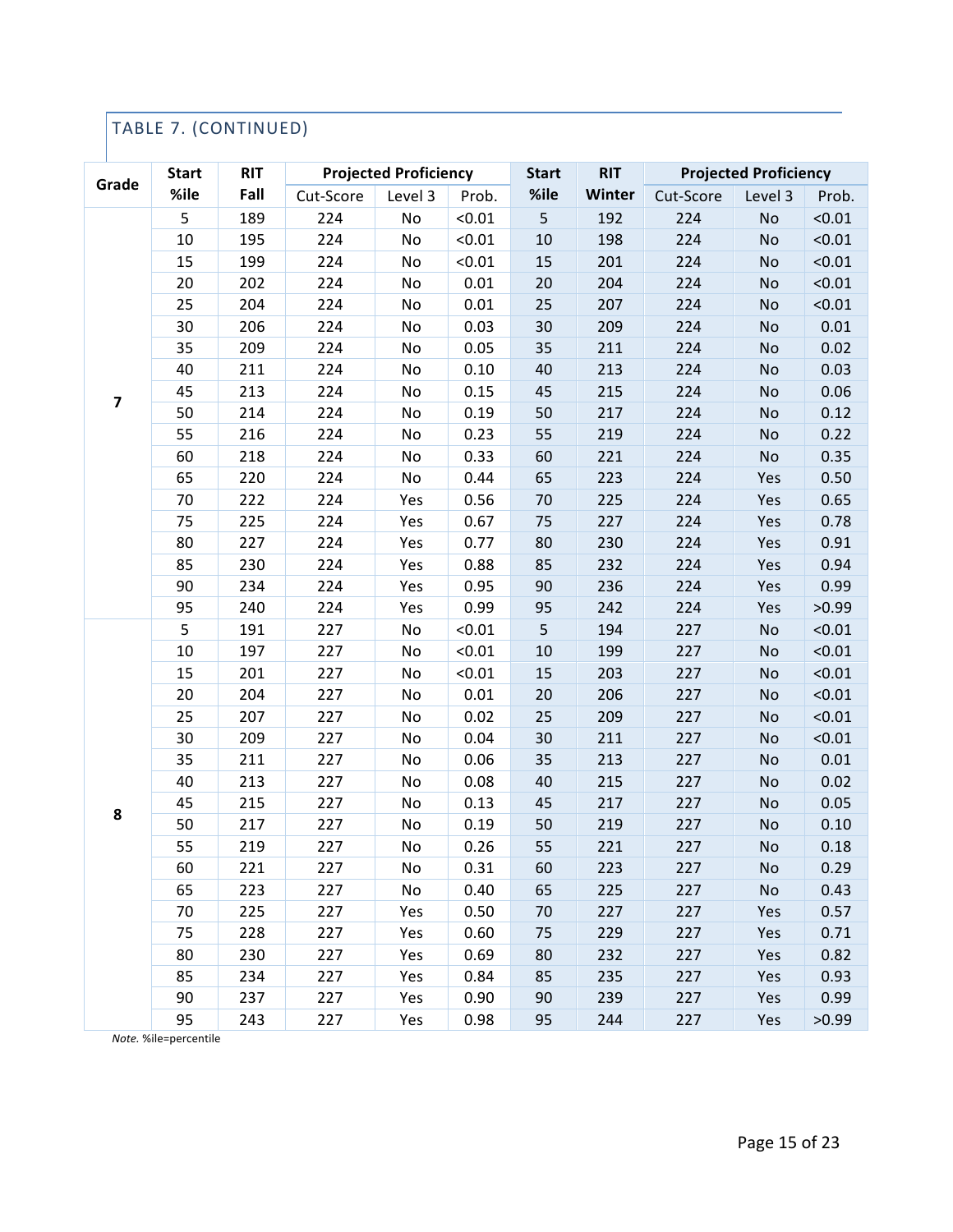## TABLE 7. (CONTINUED)

| Grade                   | <b>Start</b> | <b>RIT</b> |           | <b>Projected Proficiency</b> |        | <b>Start</b> | <b>RIT</b> |           | <b>Projected Proficiency</b> |        |
|-------------------------|--------------|------------|-----------|------------------------------|--------|--------------|------------|-----------|------------------------------|--------|
|                         | %ile         | Fall       | Cut-Score | Level 3                      | Prob.  | %ile         | Winter     | Cut-Score | Level 3                      | Prob.  |
|                         | 5            | 189        | 224       | No                           | < 0.01 | 5            | 192        | 224       | No                           | < 0.01 |
|                         | 10           | 195        | 224       | No                           | < 0.01 | 10           | 198        | 224       | No                           | < 0.01 |
|                         | 15           | 199        | 224       | No                           | < 0.01 | 15           | 201        | 224       | No                           | < 0.01 |
|                         | 20           | 202        | 224       | No                           | 0.01   | 20           | 204        | 224       | No                           | < 0.01 |
|                         | 25           | 204        | 224       | No                           | 0.01   | 25           | 207        | 224       | No                           | < 0.01 |
|                         | 30           | 206        | 224       | No                           | 0.03   | 30           | 209        | 224       | No                           | 0.01   |
|                         | 35           | 209        | 224       | No                           | 0.05   | 35           | 211        | 224       | No                           | 0.02   |
|                         | 40           | 211        | 224       | No                           | 0.10   | 40           | 213        | 224       | No                           | 0.03   |
| $\overline{\mathbf{z}}$ | 45           | 213        | 224       | No                           | 0.15   | 45           | 215        | 224       | No                           | 0.06   |
|                         | 50           | 214        | 224       | No                           | 0.19   | 50           | 217        | 224       | No                           | 0.12   |
|                         | 55           | 216        | 224       | No                           | 0.23   | 55           | 219        | 224       | No                           | 0.22   |
|                         | 60           | 218        | 224       | No                           | 0.33   | 60           | 221        | 224       | No                           | 0.35   |
|                         | 65           | 220        | 224       | No                           | 0.44   | 65           | 223        | 224       | Yes                          | 0.50   |
|                         | 70           | 222        | 224       | Yes                          | 0.56   | 70           | 225        | 224       | Yes                          | 0.65   |
|                         | 75           | 225        | 224       | Yes                          | 0.67   | 75           | 227        | 224       | Yes                          | 0.78   |
|                         | 80           | 227        | 224       | Yes                          | 0.77   | 80           | 230        | 224       | Yes                          | 0.91   |
|                         | 85           | 230        | 224       | Yes                          | 0.88   | 85           | 232        | 224       | Yes                          | 0.94   |
|                         | 90           | 234        | 224       | Yes                          | 0.95   | 90           | 236        | 224       | Yes                          | 0.99   |
|                         | 95           | 240        | 224       | Yes                          | 0.99   | 95           | 242        | 224       | Yes                          | >0.99  |
|                         | 5            | 191        | 227       | No                           | < 0.01 | 5            | 194        | 227       | No                           | < 0.01 |
|                         | 10           | 197        | 227       | No                           | < 0.01 | 10           | 199        | 227       | No                           | < 0.01 |
|                         | 15           | 201        | 227       | No                           | < 0.01 | 15           | 203        | 227       | No                           | < 0.01 |
|                         | 20           | 204        | 227       | No                           | 0.01   | 20           | 206        | 227       | No                           | < 0.01 |
|                         | 25           | 207        | 227       | No                           | 0.02   | 25           | 209        | 227       | No                           | < 0.01 |
|                         | 30           | 209        | 227       | No                           | 0.04   | 30           | 211        | 227       | No                           | < 0.01 |
|                         | 35           | 211        | 227       | No                           | 0.06   | 35           | 213        | 227       | No                           | 0.01   |
|                         | 40           | 213        | 227       | No                           | 0.08   | 40           | 215        | 227       | No                           | 0.02   |
| 8                       | 45           | 215        | 227       | No                           | 0.13   | 45           | 217        | 227       | No                           | 0.05   |
|                         | 50           | 217        | 227       | No                           | 0.19   | 50           | 219        | 227       | No                           | 0.10   |
|                         | 55           | 219        | 227       | No                           | 0.26   | 55           | 221        | 227       | No                           | 0.18   |
|                         | 60           | 221        | 227       | No                           | 0.31   | 60           | 223        | 227       | No                           | 0.29   |
|                         | 65           | 223        | 227       | No                           | 0.40   | 65           | 225        | 227       | No                           | 0.43   |
|                         | 70           | 225        | 227       | Yes                          | 0.50   | 70           | 227        | 227       | Yes                          | 0.57   |
|                         | 75           | 228        | 227       | Yes                          | 0.60   | 75           | 229        | 227       | Yes                          | 0.71   |
|                         | 80           | 230        | 227       | Yes                          | 0.69   | 80           | 232        | 227       | Yes                          | 0.82   |
|                         | 85           | 234        | 227       | Yes                          | 0.84   | 85           | 235        | 227       | Yes                          | 0.93   |
|                         | 90           | 237        | 227       | Yes                          | 0.90   | 90           | 239        | 227       | Yes                          | 0.99   |
|                         | 95           | 243        | 227       | Yes                          | 0.98   | 95           | 244        | 227       | Yes                          | >0.99  |

*Note.* %ile=percentile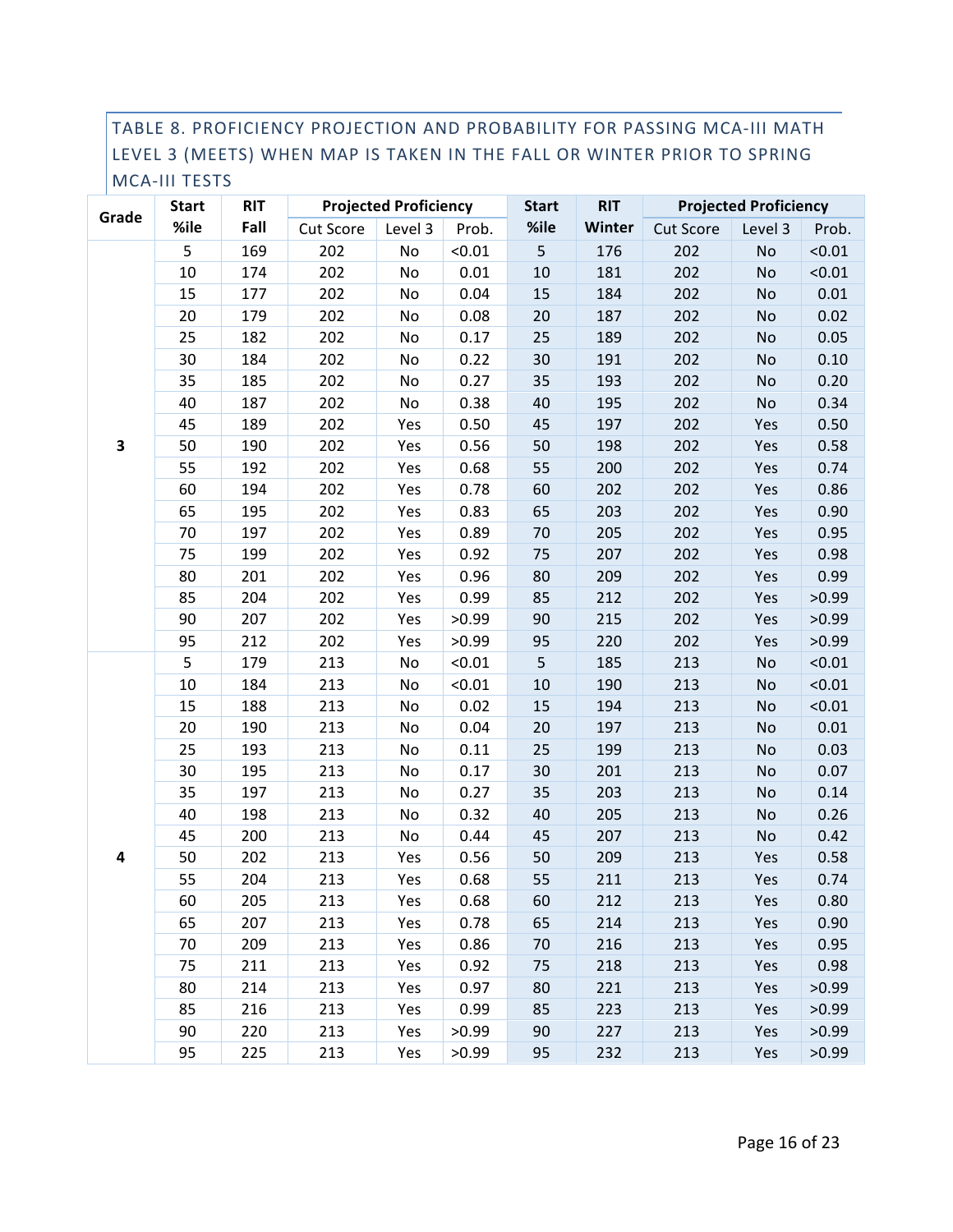#### TABLE 8. PROFICIENCY PROJECTION AND PROBABILITY FOR PASSING MCA-III MATH LEVEL 3 (MEETS) WHEN MAP IS TAKEN IN THE FALL OR WINTER PRIOR TO SPRING MCA-III TESTS

|                         | <b>Start</b> | <b>RIT</b> |           | <b>Projected Proficiency</b> |        | <b>Start</b> | <b>RIT</b> |                  | <b>Projected Proficiency</b> |        |
|-------------------------|--------------|------------|-----------|------------------------------|--------|--------------|------------|------------------|------------------------------|--------|
| Grade                   | %ile         | Fall       | Cut Score | Level 3                      | Prob.  | %ile         | Winter     | <b>Cut Score</b> | Level 3                      | Prob.  |
|                         | 5            | 169        | 202       | No                           | < 0.01 | 5            | 176        | 202              | No                           | < 0.01 |
|                         | 10           | 174        | 202       | No                           | 0.01   | 10           | 181        | 202              | <b>No</b>                    | < 0.01 |
|                         | 15           | 177        | 202       | No                           | 0.04   | 15           | 184        | 202              | No                           | 0.01   |
|                         | 20           | 179        | 202       | No                           | 0.08   | 20           | 187        | 202              | No                           | 0.02   |
|                         | 25           | 182        | 202       | No                           | 0.17   | 25           | 189        | 202              | No                           | 0.05   |
|                         | 30           | 184        | 202       | No                           | 0.22   | 30           | 191        | 202              | No                           | 0.10   |
|                         | 35           | 185        | 202       | No                           | 0.27   | 35           | 193        | 202              | No                           | 0.20   |
|                         | 40           | 187        | 202       | No                           | 0.38   | 40           | 195        | 202              | No                           | 0.34   |
|                         | 45           | 189        | 202       | Yes                          | 0.50   | 45           | 197        | 202              | Yes                          | 0.50   |
| 3                       | 50           | 190        | 202       | Yes                          | 0.56   | 50           | 198        | 202              | Yes                          | 0.58   |
|                         | 55           | 192        | 202       | Yes                          | 0.68   | 55           | 200        | 202              | Yes                          | 0.74   |
|                         | 60           | 194        | 202       | Yes                          | 0.78   | 60           | 202        | 202              | Yes                          | 0.86   |
|                         | 65           | 195        | 202       | Yes                          | 0.83   | 65           | 203        | 202              | Yes                          | 0.90   |
|                         | 70           | 197        | 202       | Yes                          | 0.89   | 70           | 205        | 202              | Yes                          | 0.95   |
|                         | 75           | 199        | 202       | Yes                          | 0.92   | 75           | 207        | 202              | Yes                          | 0.98   |
|                         | 80           | 201        | 202       | Yes                          | 0.96   | 80           | 209        | 202              | Yes                          | 0.99   |
|                         | 85           | 204        | 202       | Yes                          | 0.99   | 85           | 212        | 202              | Yes                          | >0.99  |
|                         | 90           | 207        | 202       | Yes                          | >0.99  | 90           | 215        | 202              | Yes                          | >0.99  |
|                         | 95           | 212        | 202       | Yes                          | >0.99  | 95           | 220        | 202              | Yes                          | >0.99  |
|                         | 5            | 179        | 213       | No                           | < 0.01 | 5            | 185        | 213              | No                           | < 0.01 |
|                         | 10           | 184        | 213       | No                           | < 0.01 | 10           | 190        | 213              | No                           | < 0.01 |
|                         | 15           | 188        | 213       | No                           | 0.02   | 15           | 194        | 213              | No                           | < 0.01 |
|                         | 20           | 190        | 213       | No                           | 0.04   | 20           | 197        | 213              | No                           | 0.01   |
|                         | 25           | 193        | 213       | No                           | 0.11   | 25           | 199        | 213              | No                           | 0.03   |
|                         | 30           | 195        | 213       | No                           | 0.17   | 30           | 201        | 213              | No                           | 0.07   |
|                         | 35           | 197        | 213       | No                           | 0.27   | 35           | 203        | 213              | No                           | 0.14   |
|                         | 40           | 198        | 213       | No                           | 0.32   | 40           | 205        | 213              | No                           | 0.26   |
|                         | 45           | 200        | 213       | No                           | 0.44   | 45           | 207        | 213              | No                           | 0.42   |
| $\overline{\mathbf{4}}$ | 50           | 202        | 213       | Yes                          | 0.56   | 50           | 209        | 213              | Yes                          | 0.58   |
|                         | 55           | 204        | 213       | Yes                          | 0.68   | 55           | 211        | 213              | Yes                          | 0.74   |
|                         | 60           | 205        | 213       | Yes                          | 0.68   | 60           | 212        | 213              | Yes                          | 0.80   |
|                         | 65           | 207        | 213       | Yes                          | 0.78   | 65           | 214        | 213              | Yes                          | 0.90   |
|                         | 70           | 209        | 213       | Yes                          | 0.86   | 70           | 216        | 213              | Yes                          | 0.95   |
|                         | 75           | 211        | 213       | Yes                          | 0.92   | 75           | 218        | 213              | Yes                          | 0.98   |
|                         | 80           | 214        | 213       | Yes                          | 0.97   | 80           | 221        | 213              | Yes                          | >0.99  |
|                         | 85           | 216        | 213       | Yes                          | 0.99   | 85           | 223        | 213              | Yes                          | >0.99  |
|                         | 90           | 220        | 213       | Yes                          | >0.99  | 90           | 227        | 213              | Yes                          | >0.99  |
|                         | 95           | 225        | 213       | Yes                          | >0.99  | 95           | 232        | 213              | Yes                          | >0.99  |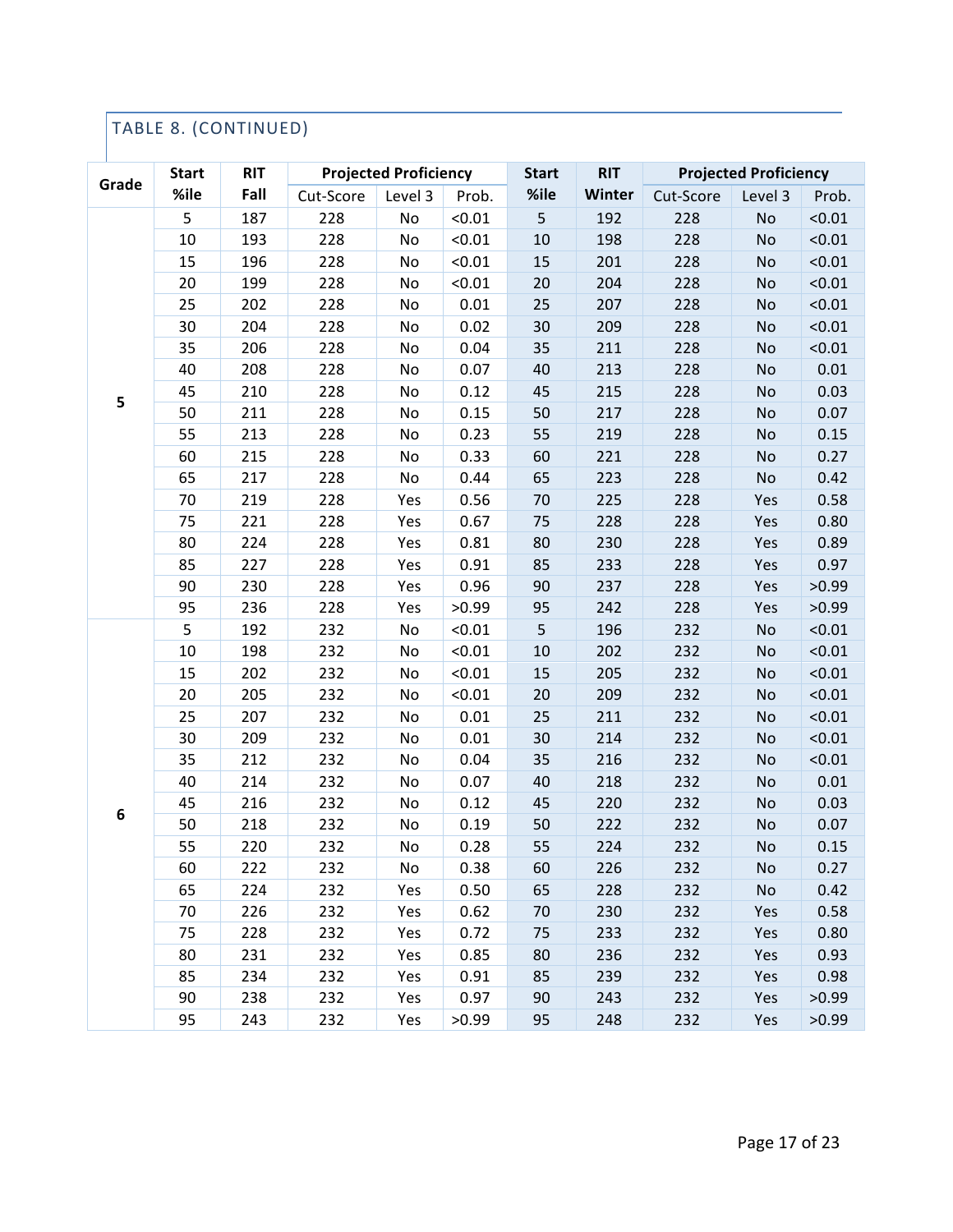## TABLE 8. (CONTINUED)

|       | <b>Start</b><br>%ile | <b>RIT</b><br>Fall | <b>Projected Proficiency</b> |         |        | <b>Start</b> | <b>RIT</b>    | <b>Projected Proficiency</b> |           |        |
|-------|----------------------|--------------------|------------------------------|---------|--------|--------------|---------------|------------------------------|-----------|--------|
| Grade |                      |                    | Cut-Score                    | Level 3 | Prob.  | %ile         | <b>Winter</b> | Cut-Score                    | Level 3   | Prob.  |
|       | 5                    | 187                | 228                          | No      | < 0.01 | 5            | 192           | 228                          | No        | < 0.01 |
|       | 10                   | 193                | 228                          | No      | < 0.01 | 10           | 198           | 228                          | <b>No</b> | < 0.01 |
|       | 15                   | 196                | 228                          | No      | < 0.01 | 15           | 201           | 228                          | No        | < 0.01 |
|       | 20                   | 199                | 228                          | No      | < 0.01 | 20           | 204           | 228                          | No        | < 0.01 |
|       | 25                   | 202                | 228                          | No      | 0.01   | 25           | 207           | 228                          | No        | < 0.01 |
|       | 30                   | 204                | 228                          | No      | 0.02   | 30           | 209           | 228                          | No        | < 0.01 |
|       | 35                   | 206                | 228                          | No      | 0.04   | 35           | 211           | 228                          | No        | < 0.01 |
|       | 40                   | 208                | 228                          | No      | 0.07   | 40           | 213           | 228                          | No        | 0.01   |
| 5     | 45                   | 210                | 228                          | No      | 0.12   | 45           | 215           | 228                          | No        | 0.03   |
|       | 50                   | 211                | 228                          | No      | 0.15   | 50           | 217           | 228                          | No        | 0.07   |
|       | 55                   | 213                | 228                          | No      | 0.23   | 55           | 219           | 228                          | No        | 0.15   |
|       | 60                   | 215                | 228                          | No      | 0.33   | 60           | 221           | 228                          | No        | 0.27   |
|       | 65                   | 217                | 228                          | No      | 0.44   | 65           | 223           | 228                          | No        | 0.42   |
|       | 70                   | 219                | 228                          | Yes     | 0.56   | 70           | 225           | 228                          | Yes       | 0.58   |
|       | 75                   | 221                | 228                          | Yes     | 0.67   | 75           | 228           | 228                          | Yes       | 0.80   |
|       | 80                   | 224                | 228                          | Yes     | 0.81   | 80           | 230           | 228                          | Yes       | 0.89   |
|       | 85                   | 227                | 228                          | Yes     | 0.91   | 85           | 233           | 228                          | Yes       | 0.97   |
|       | 90                   | 230                | 228                          | Yes     | 0.96   | 90           | 237           | 228                          | Yes       | >0.99  |
|       | 95                   | 236                | 228                          | Yes     | >0.99  | 95           | 242           | 228                          | Yes       | >0.99  |
|       | 5                    | 192                | 232                          | No      | < 0.01 | 5            | 196           | 232                          | No        | < 0.01 |
|       | 10                   | 198                | 232                          | No      | < 0.01 | $10\,$       | 202           | 232                          | No        | < 0.01 |
|       | 15                   | 202                | 232                          | No      | < 0.01 | 15           | 205           | 232                          | No        | < 0.01 |
|       | 20                   | 205                | 232                          | No      | < 0.01 | 20           | 209           | 232                          | No        | < 0.01 |
|       | 25                   | 207                | 232                          | No      | 0.01   | 25           | 211           | 232                          | No        | < 0.01 |
|       | 30                   | 209                | 232                          | No      | 0.01   | 30           | 214           | 232                          | No        | < 0.01 |
|       | 35                   | 212                | 232                          | No      | 0.04   | 35           | 216           | 232                          | No        | < 0.01 |
|       | 40                   | 214                | 232                          | No      | 0.07   | 40           | 218           | 232                          | No        | 0.01   |
| 6     | 45                   | 216                | 232                          | No      | 0.12   | 45           | 220           | 232                          | No        | 0.03   |
|       | 50                   | 218                | 232                          | No      | 0.19   | 50           | 222           | 232                          | No        | 0.07   |
|       | 55                   | 220                | 232                          | No      | 0.28   | 55           | 224           | 232                          | No        | 0.15   |
|       | 60                   | 222                | 232                          | No      | 0.38   | 60           | 226           | 232                          | No        | 0.27   |
|       | 65                   | 224                | 232                          | Yes     | 0.50   | 65           | 228           | 232                          | No        | 0.42   |
|       | 70                   | 226                | 232                          | Yes     | 0.62   | 70           | 230           | 232                          | Yes       | 0.58   |
|       | 75                   | 228                | 232                          | Yes     | 0.72   | 75           | 233           | 232                          | Yes       | 0.80   |
|       | 80                   | 231                | 232                          | Yes     | 0.85   | 80           | 236           | 232                          | Yes       | 0.93   |
|       | 85                   | 234                | 232                          | Yes     | 0.91   | 85           | 239           | 232                          | Yes       | 0.98   |
|       | 90                   | 238                | 232                          | Yes     | 0.97   | 90           | 243           | 232                          | Yes       | >0.99  |
|       | 95                   | 243                | 232                          | Yes     | >0.99  | 95           | 248           | 232                          | Yes       | >0.99  |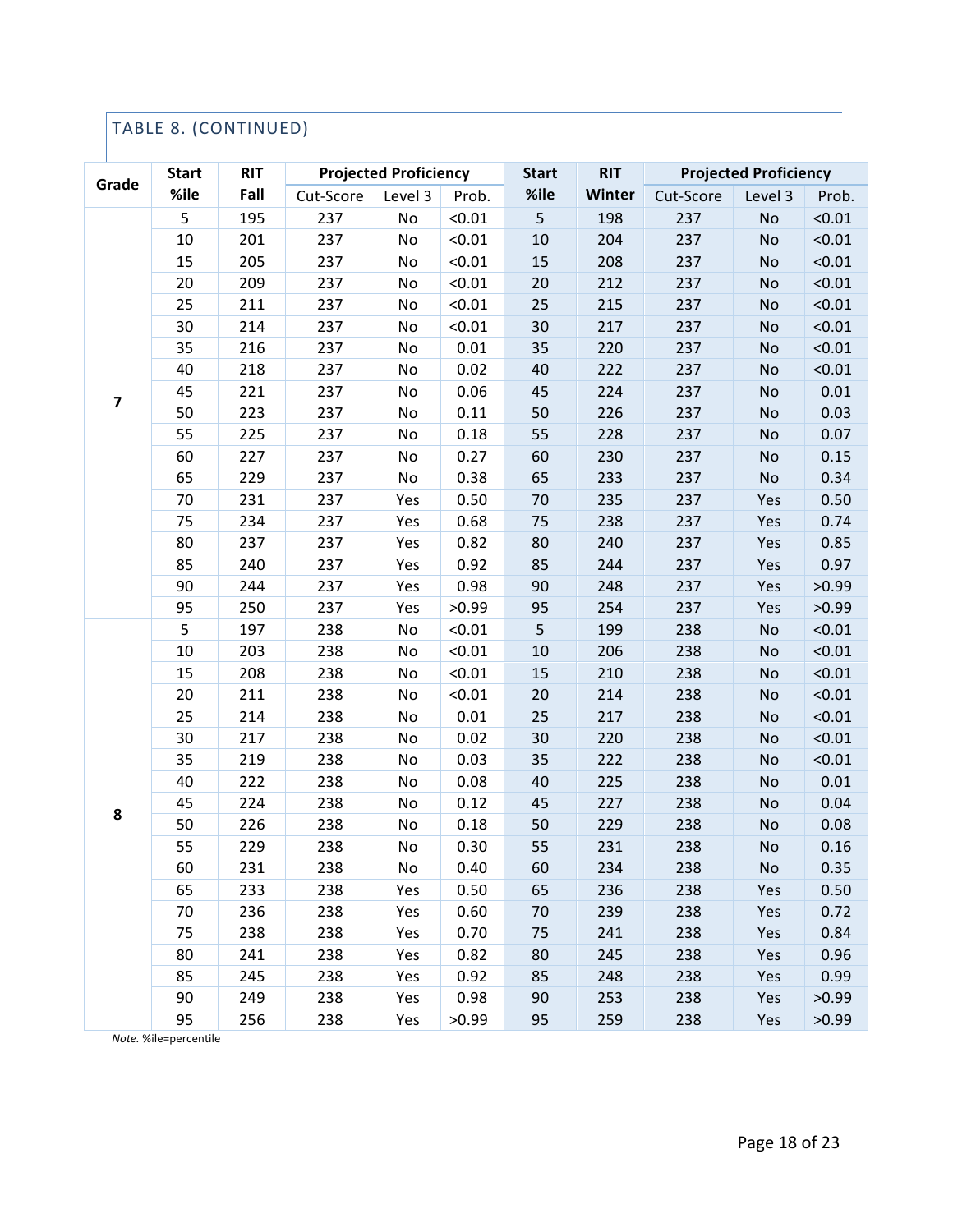## TABLE 8. (CONTINUED)

| Grade                   | <b>Start</b> | <b>RIT</b> | <b>Projected Proficiency</b> |         |        | <b>Start</b> | <b>RIT</b> | <b>Projected Proficiency</b> |         |        |
|-------------------------|--------------|------------|------------------------------|---------|--------|--------------|------------|------------------------------|---------|--------|
|                         | %ile         | Fall       | Cut-Score                    | Level 3 | Prob.  | %ile         | Winter     | Cut-Score                    | Level 3 | Prob.  |
|                         | 5            | 195        | 237                          | No      | < 0.01 | 5            | 198        | 237                          | No      | < 0.01 |
|                         | 10           | 201        | 237                          | No      | < 0.01 | $10\,$       | 204        | 237                          | No      | < 0.01 |
|                         | 15           | 205        | 237                          | No      | < 0.01 | 15           | 208        | 237                          | No      | < 0.01 |
|                         | 20           | 209        | 237                          | No      | < 0.01 | 20           | 212        | 237                          | No      | < 0.01 |
|                         | 25           | 211        | 237                          | No      | < 0.01 | 25           | 215        | 237                          | No      | < 0.01 |
|                         | 30           | 214        | 237                          | No      | < 0.01 | 30           | 217        | 237                          | No      | < 0.01 |
|                         | 35           | 216        | 237                          | No      | 0.01   | 35           | 220        | 237                          | No      | < 0.01 |
|                         | 40           | 218        | 237                          | No      | 0.02   | 40           | 222        | 237                          | No      | < 0.01 |
| $\overline{\mathbf{z}}$ | 45           | 221        | 237                          | No      | 0.06   | 45           | 224        | 237                          | No      | 0.01   |
|                         | 50           | 223        | 237                          | No      | 0.11   | 50           | 226        | 237                          | No      | 0.03   |
|                         | 55           | 225        | 237                          | No      | 0.18   | 55           | 228        | 237                          | No      | 0.07   |
|                         | 60           | 227        | 237                          | No      | 0.27   | 60           | 230        | 237                          | No      | 0.15   |
|                         | 65           | 229        | 237                          | No      | 0.38   | 65           | 233        | 237                          | No      | 0.34   |
|                         | 70           | 231        | 237                          | Yes     | 0.50   | 70           | 235        | 237                          | Yes     | 0.50   |
|                         | 75           | 234        | 237                          | Yes     | 0.68   | 75           | 238        | 237                          | Yes     | 0.74   |
|                         | 80           | 237        | 237                          | Yes     | 0.82   | 80           | 240        | 237                          | Yes     | 0.85   |
|                         | 85           | 240        | 237                          | Yes     | 0.92   | 85           | 244        | 237                          | Yes     | 0.97   |
|                         | 90           | 244        | 237                          | Yes     | 0.98   | 90           | 248        | 237                          | Yes     | >0.99  |
|                         | 95           | 250        | 237                          | Yes     | >0.99  | 95           | 254        | 237                          | Yes     | >0.99  |
|                         | 5            | 197        | 238                          | No      | < 0.01 | 5            | 199        | 238                          | No      | < 0.01 |
|                         | 10           | 203        | 238                          | No      | < 0.01 | $10\,$       | 206        | 238                          | No      | < 0.01 |
|                         | 15           | 208        | 238                          | No      | < 0.01 | 15           | 210        | 238                          | No      | < 0.01 |
|                         | 20           | 211        | 238                          | No      | < 0.01 | 20           | 214        | 238                          | No      | < 0.01 |
|                         | 25           | 214        | 238                          | No      | 0.01   | 25           | 217        | 238                          | No      | < 0.01 |
|                         | 30           | 217        | 238                          | No      | 0.02   | 30           | 220        | 238                          | No      | < 0.01 |
|                         | 35           | 219        | 238                          | No      | 0.03   | 35           | 222        | 238                          | No      | < 0.01 |
|                         | 40           | 222        | 238                          | No      | 0.08   | 40           | 225        | 238                          | No      | 0.01   |
| 8                       | 45           | 224        | 238                          | No      | 0.12   | 45           | 227        | 238                          | No      | 0.04   |
|                         | 50           | 226        | 238                          | No      | 0.18   | 50           | 229        | 238                          | No      | 0.08   |
|                         | 55           | 229        | 238                          | No      | 0.30   | 55           | 231        | 238                          | No      | 0.16   |
|                         | 60           | 231        | 238                          | No      | 0.40   | 60           | 234        | 238                          | No      | 0.35   |
|                         | 65           | 233        | 238                          | Yes     | 0.50   | 65           | 236        | 238                          | Yes     | 0.50   |
|                         | 70           | 236        | 238                          | Yes     | 0.60   | 70           | 239        | 238                          | Yes     | 0.72   |
|                         | 75           | 238        | 238                          | Yes     | 0.70   | 75           | 241        | 238                          | Yes     | 0.84   |
|                         | 80           | 241        | 238                          | Yes     | 0.82   | 80           | 245        | 238                          | Yes     | 0.96   |
|                         | 85           | 245        | 238                          | Yes     | 0.92   | 85           | 248        | 238                          | Yes     | 0.99   |
|                         | 90           | 249        | 238                          | Yes     | 0.98   | 90           | 253        | 238                          | Yes     | >0.99  |
|                         | 95           | 256        | 238                          | Yes     | >0.99  | 95           | 259        | 238                          | Yes     | >0.99  |

*Note.* %ile=percentile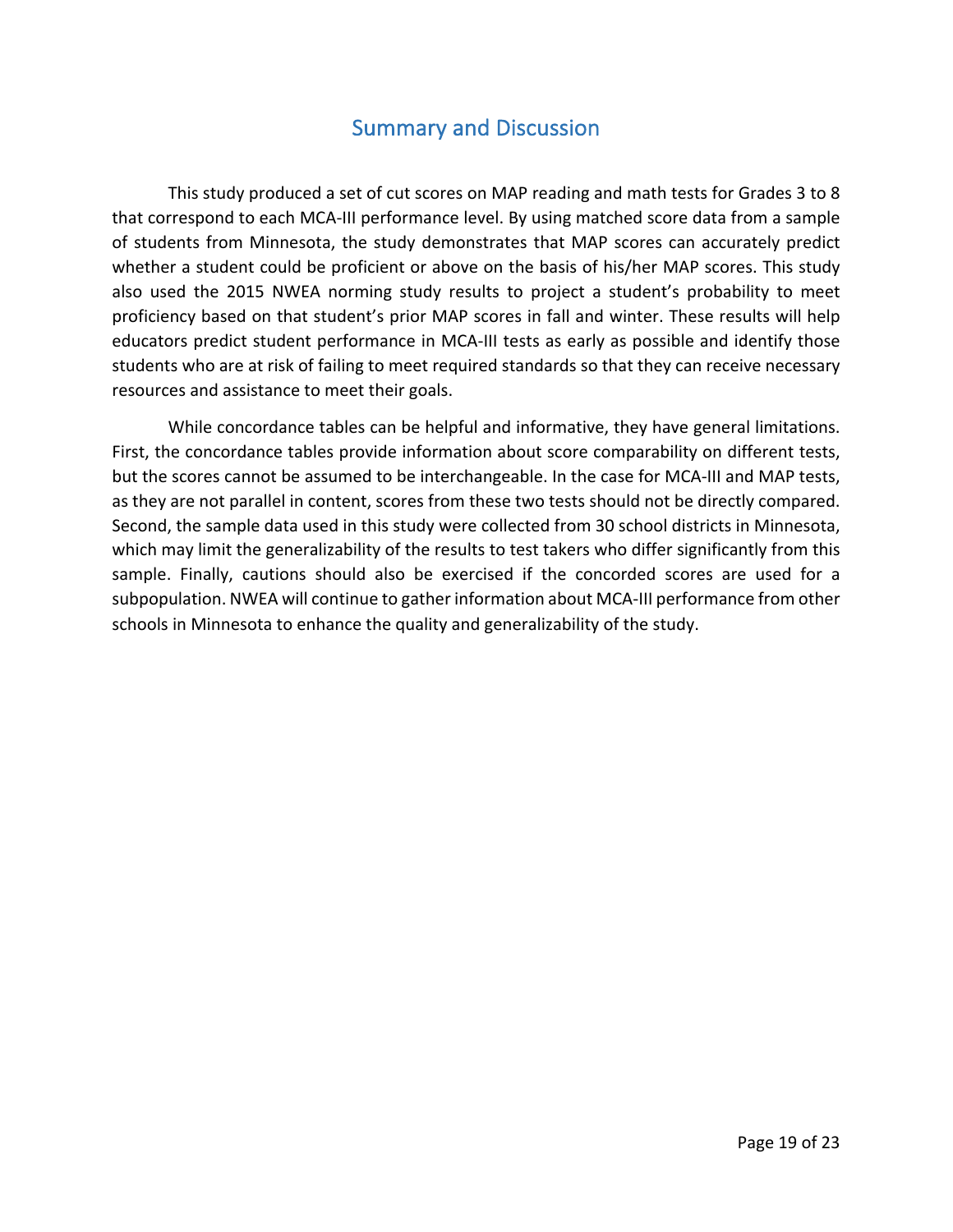# **Summary and Discussion**

This study produced a set of cut scores on MAP reading and math tests for Grades 3 to 8 that correspond to each MCA-III performance level. By using matched score data from a sample of students from Minnesota, the study demonstrates that MAP scores can accurately predict whether a student could be proficient or above on the basis of his/her MAP scores. This study also used the 2015 NWEA norming study results to project a student's probability to meet proficiency based on that student's prior MAP scores in fall and winter. These results will help educators predict student performance in MCA-III tests as early as possible and identify those students who are at risk of failing to meet required standards so that they can receive necessary resources and assistance to meet their goals.

While concordance tables can be helpful and informative, they have general limitations. First, the concordance tables provide information about score comparability on different tests, but the scores cannot be assumed to be interchangeable. In the case for MCA-III and MAP tests, as they are not parallel in content, scores from these two tests should not be directly compared. Second, the sample data used in this study were collected from 30 school districts in Minnesota, which may limit the generalizability of the results to test takers who differ significantly from this sample. Finally, cautions should also be exercised if the concorded scores are used for a subpopulation. NWEA will continue to gather information about MCA-III performance from other schools in Minnesota to enhance the quality and generalizability of the study.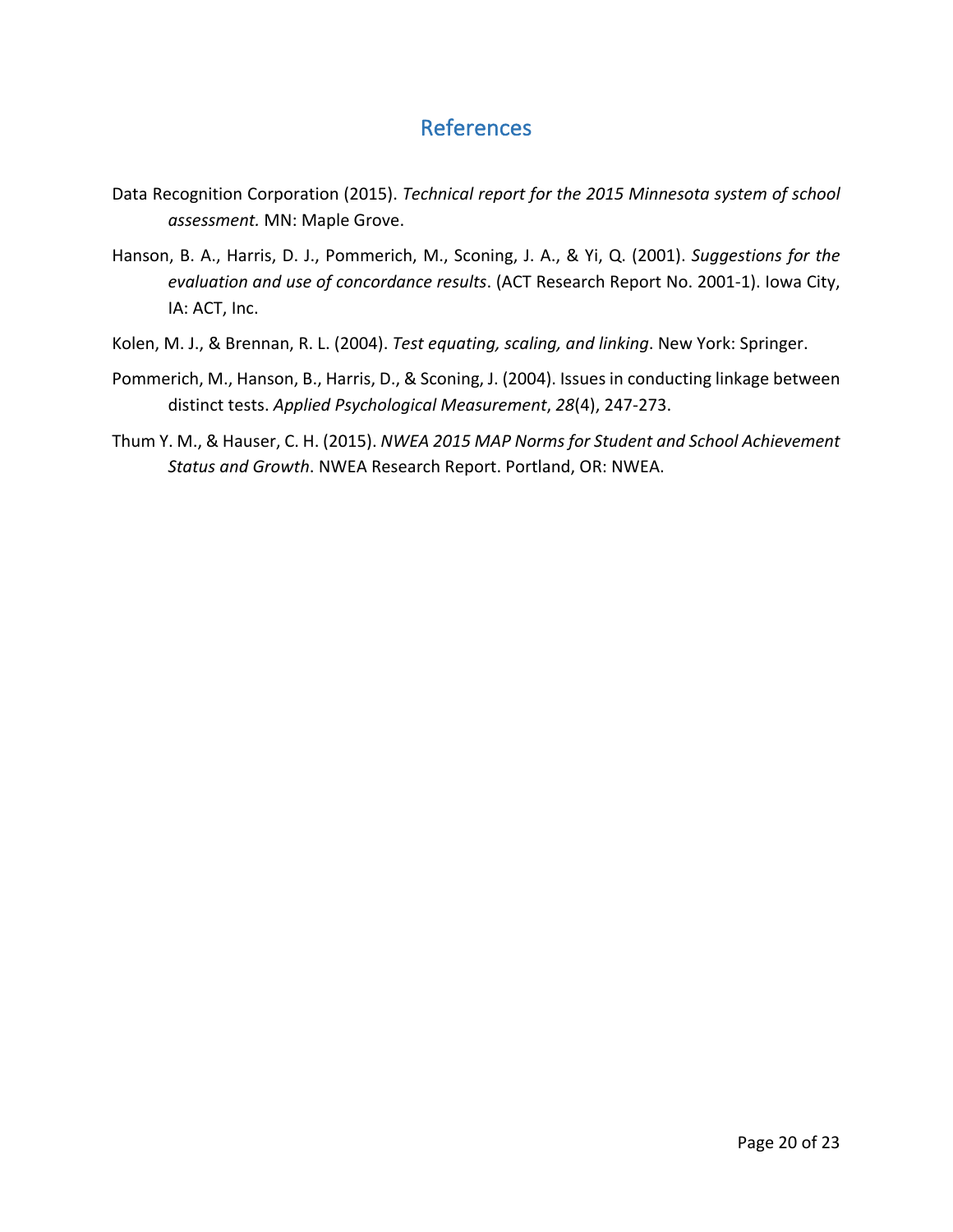# References

- Data Recognition Corporation (2015). *Technical report for the 2015 Minnesota system of school* assessment. MN: Maple Grove.
- Hanson, B. A., Harris, D. J., Pommerich, M., Sconing, J. A., & Yi, Q. (2001). *Suggestions for the evaluation and use of concordance results*. (ACT Research Report No. 2001-1). Iowa City, IA: ACT, Inc.
- Kolen, M. J., & Brennan, R. L. (2004). *Test equating, scaling, and linking*. New York: Springer.
- Pommerich, M., Hanson, B., Harris, D., & Sconing, J. (2004). Issues in conducting linkage between distinct tests. *Applied Psychological Measurement*, 28(4), 247-273.
- Thum Y. M., & Hauser, C. H. (2015). *NWEA 2015 MAP Norms for Student and School Achievement* Status and Growth. NWEA Research Report. Portland, OR: NWEA.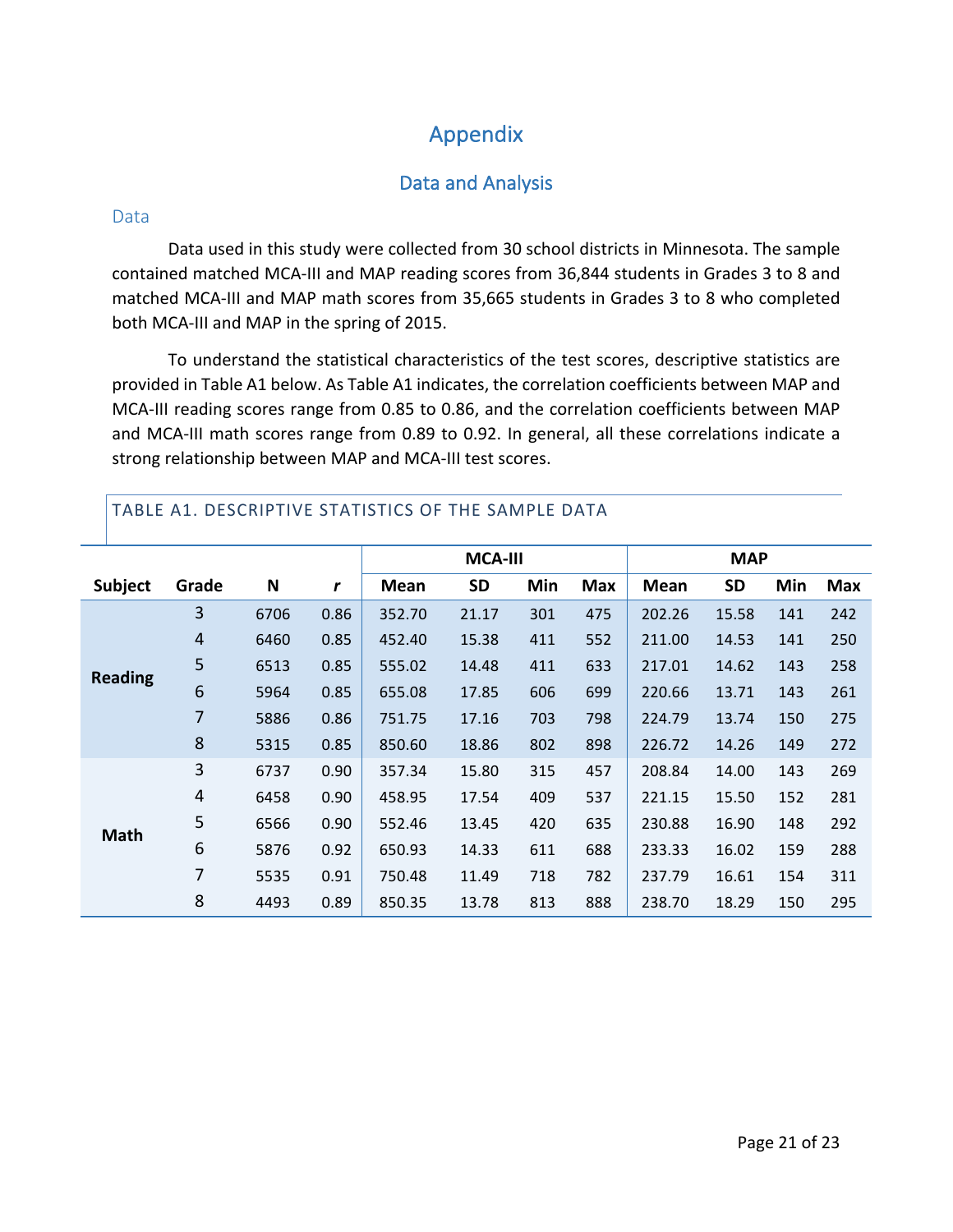# Appendix

#### Data and Analysis

#### Data

Data used in this study were collected from 30 school districts in Minnesota. The sample contained matched MCA-III and MAP reading scores from 36,844 students in Grades 3 to 8 and matched MCA-III and MAP math scores from 35,665 students in Grades 3 to 8 who completed both MCA-III and MAP in the spring of 2015.

To understand the statistical characteristics of the test scores, descriptive statistics are provided in Table A1 below. As Table A1 indicates, the correlation coefficients between MAP and MCA-III reading scores range from 0.85 to 0.86, and the correlation coefficients between MAP and MCA-III math scores range from 0.89 to 0.92. In general, all these correlations indicate a strong relationship between MAP and MCA-III test scores.

|                |       |      |      | <b>MCA-III</b> |           |     | <b>MAP</b> |             |           |     |            |
|----------------|-------|------|------|----------------|-----------|-----|------------|-------------|-----------|-----|------------|
| <b>Subject</b> | Grade | N    | r    | <b>Mean</b>    | <b>SD</b> | Min | <b>Max</b> | <b>Mean</b> | <b>SD</b> | Min | <b>Max</b> |
|                | 3     | 6706 | 0.86 | 352.70         | 21.17     | 301 | 475        | 202.26      | 15.58     | 141 | 242        |
|                | 4     | 6460 | 0.85 | 452.40         | 15.38     | 411 | 552        | 211.00      | 14.53     | 141 | 250        |
| <b>Reading</b> | 5     | 6513 | 0.85 | 555.02         | 14.48     | 411 | 633        | 217.01      | 14.62     | 143 | 258        |
|                | 6     | 5964 | 0.85 | 655.08         | 17.85     | 606 | 699        | 220.66      | 13.71     | 143 | 261        |
|                | 7     | 5886 | 0.86 | 751.75         | 17.16     | 703 | 798        | 224.79      | 13.74     | 150 | 275        |
|                | 8     | 5315 | 0.85 | 850.60         | 18.86     | 802 | 898        | 226.72      | 14.26     | 149 | 272        |
|                | 3     | 6737 | 0.90 | 357.34         | 15.80     | 315 | 457        | 208.84      | 14.00     | 143 | 269        |
|                | 4     | 6458 | 0.90 | 458.95         | 17.54     | 409 | 537        | 221.15      | 15.50     | 152 | 281        |
| <b>Math</b>    | 5     | 6566 | 0.90 | 552.46         | 13.45     | 420 | 635        | 230.88      | 16.90     | 148 | 292        |
|                | 6     | 5876 | 0.92 | 650.93         | 14.33     | 611 | 688        | 233.33      | 16.02     | 159 | 288        |
|                | 7     | 5535 | 0.91 | 750.48         | 11.49     | 718 | 782        | 237.79      | 16.61     | 154 | 311        |
|                | 8     | 4493 | 0.89 | 850.35         | 13.78     | 813 | 888        | 238.70      | 18.29     | 150 | 295        |

TABLE A1. DESCRIPTIVE STATISTICS OF THE SAMPLE DATA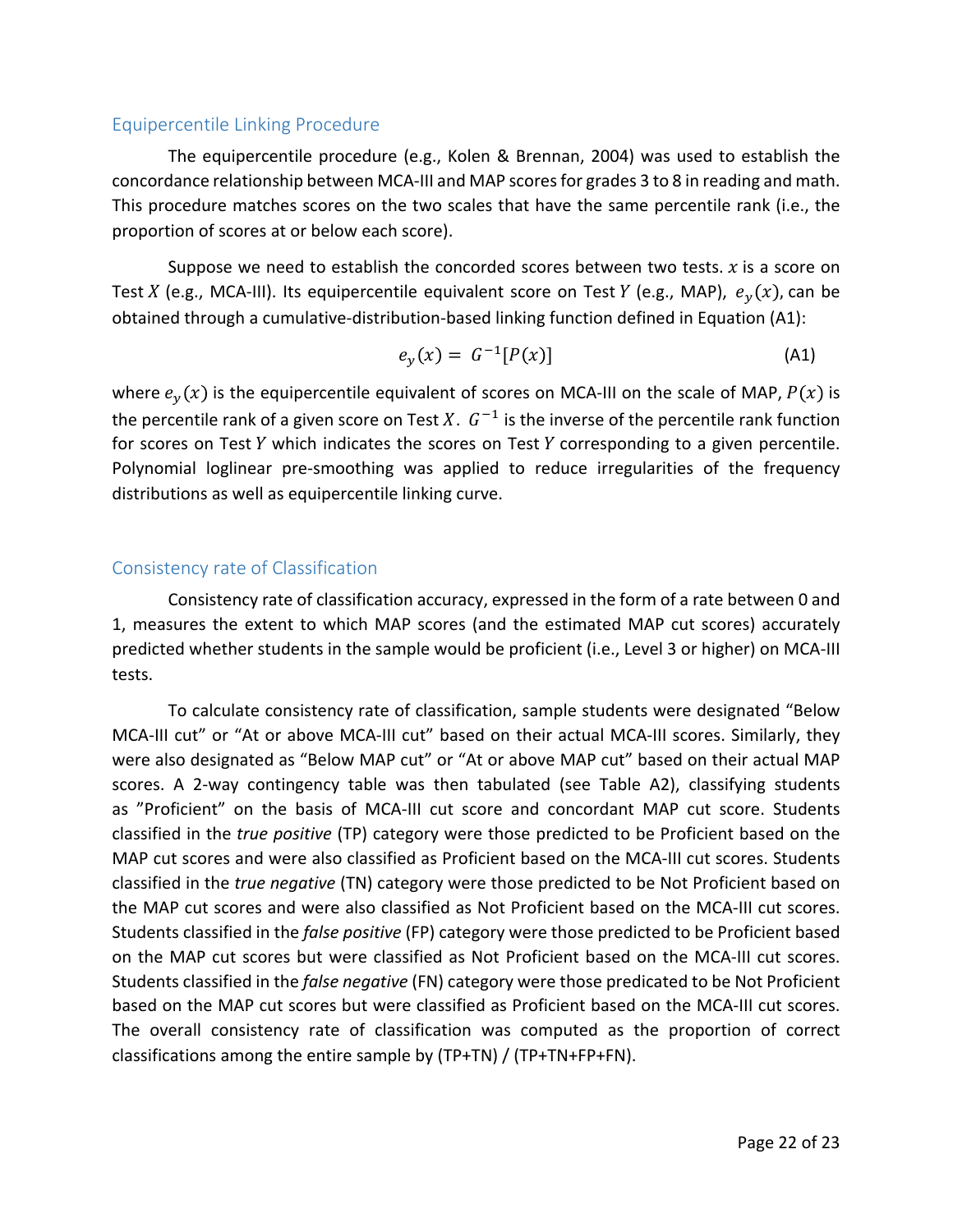#### Equipercentile Linking Procedure

The equipercentile procedure  $(e.g.,$  Kolen & Brennan, 2004) was used to establish the concordance relationship between MCA-III and MAP scores for grades 3 to 8 in reading and math. This procedure matches scores on the two scales that have the same percentile rank (i.e., the proportion of scores at or below each score).

Suppose we need to establish the concorded scores between two tests.  $x$  is a score on Test X (e.g., MCA-III). Its equipercentile equivalent score on Test Y (e.g., MAP),  $e_y(x)$ , can be obtained through a cumulative-distribution-based linking function defined in Equation (A1):

$$
e_y(x) = G^{-1}[P(x)]
$$
 (A1)

where  $e_y(x)$  is the equipercentile equivalent of scores on MCA-III on the scale of MAP,  $P(x)$  is the percentile rank of a given score on Test X.  $G^{-1}$  is the inverse of the percentile rank function for scores on Test  $Y$  which indicates the scores on Test  $Y$  corresponding to a given percentile. Polynomial loglinear pre-smoothing was applied to reduce irregularities of the frequency distributions as well as equipercentile linking curve.

#### Consistency rate of Classification

Consistency rate of classification accuracy, expressed in the form of a rate between 0 and 1, measures the extent to which MAP scores (and the estimated MAP cut scores) accurately predicted whether students in the sample would be proficient (i.e., Level 3 or higher) on MCA-III tests. 

To calculate consistency rate of classification, sample students were designated "Below MCA-III cut" or "At or above MCA-III cut" based on their actual MCA-III scores. Similarly, they were also designated as "Below MAP cut" or "At or above MAP cut" based on their actual MAP scores. A 2-way contingency table was then tabulated (see Table A2), classifying students as "Proficient" on the basis of MCA-III cut score and concordant MAP cut score. Students classified in the *true positive* (TP) category were those predicted to be Proficient based on the MAP cut scores and were also classified as Proficient based on the MCA-III cut scores. Students classified in the *true negative* (TN) category were those predicted to be Not Proficient based on the MAP cut scores and were also classified as Not Proficient based on the MCA-III cut scores. Students classified in the *false positive* (FP) category were those predicted to be Proficient based on the MAP cut scores but were classified as Not Proficient based on the MCA-III cut scores. Students classified in the *false negative* (FN) category were those predicated to be Not Proficient based on the MAP cut scores but were classified as Proficient based on the MCA-III cut scores. The overall consistency rate of classification was computed as the proportion of correct classifications among the entire sample by  $(TP+TN) / (TP+TN+FP+FN)$ .